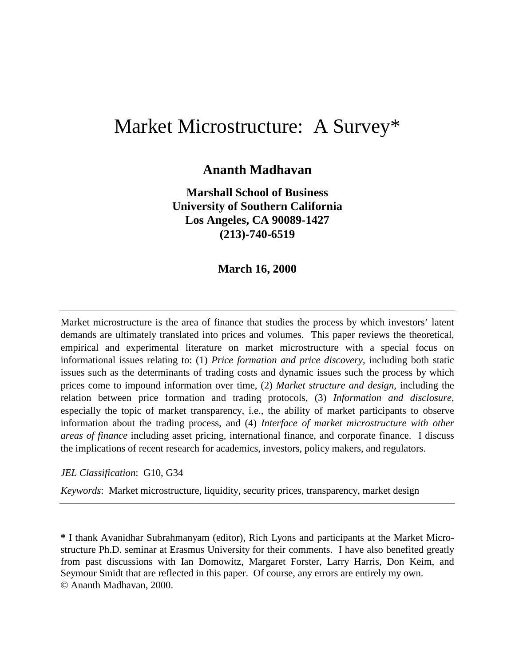# Market Microstructure: A Survey\*

# **Ananth Madhavan**

**Marshall School of Business University of Southern California Los Angeles, CA 90089-1427 (213)-740-6519**

# **March 16, 2000**

Market microstructure is the area of finance that studies the process by which investors' latent demands are ultimately translated into prices and volumes. This paper reviews the theoretical, empirical and experimental literature on market microstructure with a special focus on informational issues relating to: (1) *Price formation and price discovery*, including both static issues such as the determinants of trading costs and dynamic issues such the process by which prices come to impound information over time, (2) *Market structure and design*, including the relation between price formation and trading protocols, (3) *Information and disclosure*, especially the topic of market transparency, i.e., the ability of market participants to observe information about the trading process, and (4) *Interface of market microstructure with other areas of finance* including asset pricing, international finance, and corporate finance. I discuss the implications of recent research for academics, investors, policy makers, and regulators.

*JEL Classification*: G10, G34

*Keywords*: Market microstructure, liquidity, security prices, transparency, market design

**\*** I thank Avanidhar Subrahmanyam (editor), Rich Lyons and participants at the Market Microstructure Ph.D. seminar at Erasmus University for their comments. I have also benefited greatly from past discussions with Ian Domowitz, Margaret Forster, Larry Harris, Don Keim, and Seymour Smidt that are reflected in this paper. Of course, any errors are entirely my own. © Ananth Madhavan, 2000.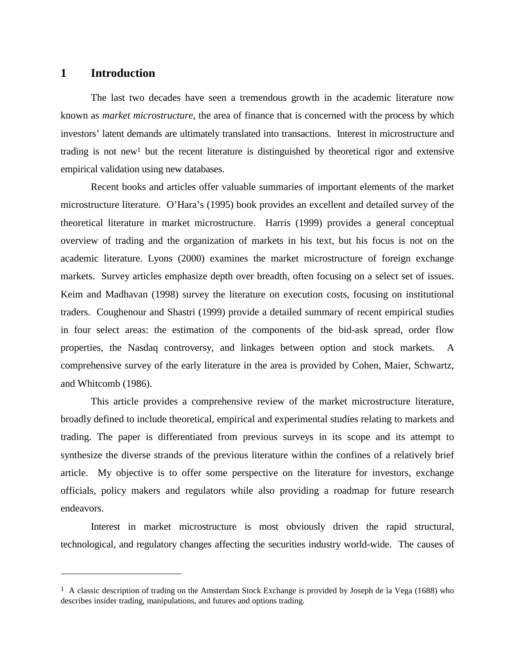# **1 Introduction**

 $\overline{a}$ 

The last two decades have seen a tremendous growth in the academic literature now known as *market microstructure*, the area of finance that is concerned with the process by which investors' latent demands are ultimately translated into transactions. Interest in microstructure and trading is not new1 but the recent literature is distinguished by theoretical rigor and extensive empirical validation using new databases.

Recent books and articles offer valuable summaries of important elements of the market microstructure literature. O'Hara's (1995) book provides an excellent and detailed survey of the theoretical literature in market microstructure. Harris (1999) provides a general conceptual overview of trading and the organization of markets in his text, but his focus is not on the academic literature. Lyons (2000) examines the market microstructure of foreign exchange markets. Survey articles emphasize depth over breadth, often focusing on a select set of issues. Keim and Madhavan (1998) survey the literature on execution costs, focusing on institutional traders. Coughenour and Shastri (1999) provide a detailed summary of recent empirical studies in four select areas: the estimation of the components of the bid-ask spread, order flow properties, the Nasdaq controversy, and linkages between option and stock markets. A comprehensive survey of the early literature in the area is provided by Cohen, Maier, Schwartz, and Whitcomb (1986).

This article provides a comprehensive review of the market microstructure literature, broadly defined to include theoretical, empirical and experimental studies relating to markets and trading. The paper is differentiated from previous surveys in its scope and its attempt to synthesize the diverse strands of the previous literature within the confines of a relatively brief article. My objective is to offer some perspective on the literature for investors, exchange officials, policy makers and regulators while also providing a roadmap for future research endeavors.

Interest in market microstructure is most obviously driven the rapid structural, technological, and regulatory changes affecting the securities industry world-wide. The causes of

<sup>&</sup>lt;sup>1</sup> A classic description of trading on the Amsterdam Stock Exchange is provided by Joseph de la Vega (1688) who describes insider trading, manipulations, and futures and options trading.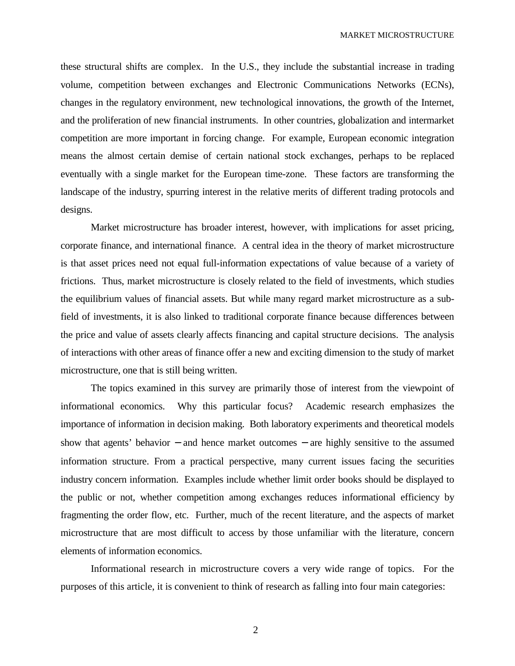these structural shifts are complex. In the U.S., they include the substantial increase in trading volume, competition between exchanges and Electronic Communications Networks (ECNs), changes in the regulatory environment, new technological innovations, the growth of the Internet, and the proliferation of new financial instruments. In other countries, globalization and intermarket competition are more important in forcing change. For example, European economic integration means the almost certain demise of certain national stock exchanges, perhaps to be replaced eventually with a single market for the European time-zone. These factors are transforming the landscape of the industry, spurring interest in the relative merits of different trading protocols and designs.

Market microstructure has broader interest, however, with implications for asset pricing, corporate finance, and international finance. A central idea in the theory of market microstructure is that asset prices need not equal full-information expectations of value because of a variety of frictions. Thus, market microstructure is closely related to the field of investments, which studies the equilibrium values of financial assets. But while many regard market microstructure as a subfield of investments, it is also linked to traditional corporate finance because differences between the price and value of assets clearly affects financing and capital structure decisions. The analysis of interactions with other areas of finance offer a new and exciting dimension to the study of market microstructure, one that is still being written.

The topics examined in this survey are primarily those of interest from the viewpoint of informational economics. Why this particular focus? Academic research emphasizes the importance of information in decision making. Both laboratory experiments and theoretical models show that agents' behavior − and hence market outcomes − are highly sensitive to the assumed information structure. From a practical perspective, many current issues facing the securities industry concern information. Examples include whether limit order books should be displayed to the public or not, whether competition among exchanges reduces informational efficiency by fragmenting the order flow, etc. Further, much of the recent literature, and the aspects of market microstructure that are most difficult to access by those unfamiliar with the literature, concern elements of information economics.

Informational research in microstructure covers a very wide range of topics. For the purposes of this article, it is convenient to think of research as falling into four main categories: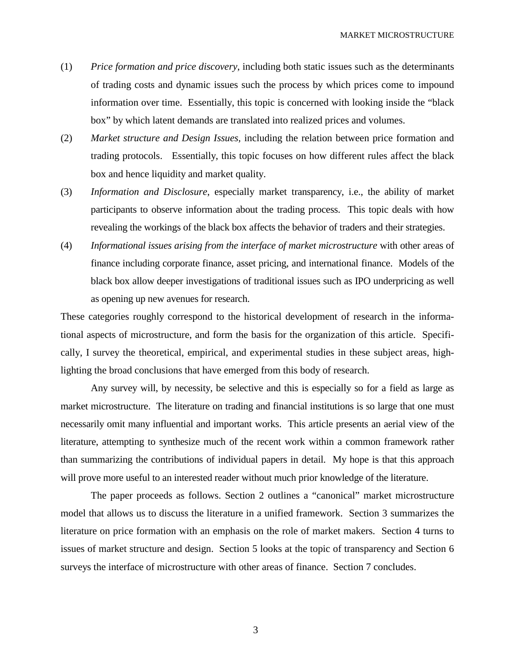- (1) *Price formation and price discovery*, including both static issues such as the determinants of trading costs and dynamic issues such the process by which prices come to impound information over time. Essentially, this topic is concerned with looking inside the "black box" by which latent demands are translated into realized prices and volumes.
- (2) *Market structure and Design Issues,* including the relation between price formation and trading protocols. Essentially, this topic focuses on how different rules affect the black box and hence liquidity and market quality.
- (3) *Information and Disclosure*, especially market transparency, i.e., the ability of market participants to observe information about the trading process. This topic deals with how revealing the workings of the black box affects the behavior of traders and their strategies.
- (4) *Informational issues arising from the interface of market microstructure* with other areas of finance including corporate finance, asset pricing, and international finance. Models of the black box allow deeper investigations of traditional issues such as IPO underpricing as well as opening up new avenues for research.

These categories roughly correspond to the historical development of research in the informational aspects of microstructure, and form the basis for the organization of this article. Specifically, I survey the theoretical, empirical, and experimental studies in these subject areas, highlighting the broad conclusions that have emerged from this body of research.

Any survey will, by necessity, be selective and this is especially so for a field as large as market microstructure. The literature on trading and financial institutions is so large that one must necessarily omit many influential and important works. This article presents an aerial view of the literature, attempting to synthesize much of the recent work within a common framework rather than summarizing the contributions of individual papers in detail. My hope is that this approach will prove more useful to an interested reader without much prior knowledge of the literature.

The paper proceeds as follows. Section 2 outlines a "canonical" market microstructure model that allows us to discuss the literature in a unified framework. Section 3 summarizes the literature on price formation with an emphasis on the role of market makers. Section 4 turns to issues of market structure and design. Section 5 looks at the topic of transparency and Section 6 surveys the interface of microstructure with other areas of finance. Section 7 concludes.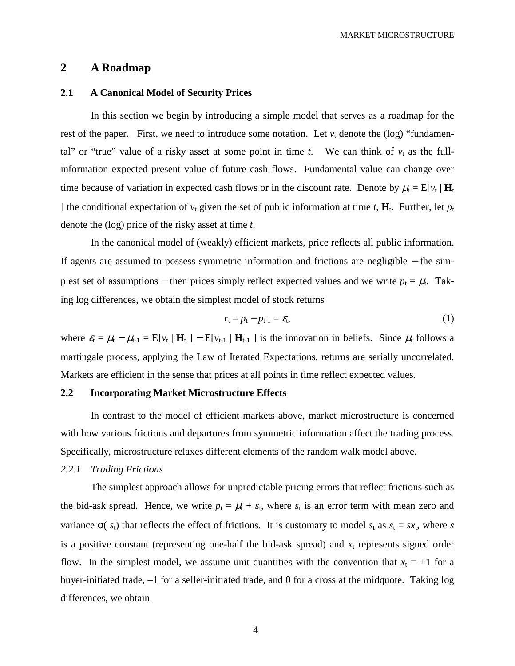# **2 A Roadmap**

# **2.1 A Canonical Model of Security Prices**

In this section we begin by introducing a simple model that serves as a roadmap for the rest of the paper. First, we need to introduce some notation. Let  $v_t$  denote the (log) "fundamental" or "true" value of a risky asset at some point in time  $t$ . We can think of  $v_t$  as the fullinformation expected present value of future cash flows. Fundamental value can change over time because of variation in expected cash flows or in the discount rate. Denote by  $\mu_t = E[v_t | H_t]$ ] the conditional expectation of  $v_t$  given the set of public information at time *t*,  $\mathbf{H}_t$ . Further, let  $p_t$ denote the (log) price of the risky asset at time *t*.

In the canonical model of (weakly) efficient markets, price reflects all public information. If agents are assumed to possess symmetric information and frictions are negligible − the simplest set of assumptions – then prices simply reflect expected values and we write  $p_t = \mu_t$ . Taking log differences, we obtain the simplest model of stock returns

$$
r_{t} = p_{t} - p_{t-1} = \varepsilon_{t}, \qquad (1)
$$

where  $\varepsilon_t = \mu_t - \mu_{t-1} = E[v_t | \mathbf{H}_t] - E[v_{t-1} | \mathbf{H}_{t-1}]$  is the innovation in beliefs. Since  $\mu_t$  follows a martingale process, applying the Law of Iterated Expectations, returns are serially uncorrelated. Markets are efficient in the sense that prices at all points in time reflect expected values.

## **2.2 Incorporating Market Microstructure Effects**

In contrast to the model of efficient markets above, market microstructure is concerned with how various frictions and departures from symmetric information affect the trading process. Specifically, microstructure relaxes different elements of the random walk model above.

### *2.2.1 Trading Frictions*

The simplest approach allows for unpredictable pricing errors that reflect frictions such as the bid-ask spread. Hence, we write  $p_t = \mu_t + s_t$ , where  $s_t$  is an error term with mean zero and variance  $\sigma(s_t)$  that reflects the effect of frictions. It is customary to model  $s_t$  as  $s_t = sx_t$ , where *s* is a positive constant (representing one-half the bid-ask spread) and  $x_t$  represents signed order flow. In the simplest model, we assume unit quantities with the convention that  $x_t = +1$  for a buyer-initiated trade, –1 for a seller-initiated trade, and 0 for a cross at the midquote. Taking log differences, we obtain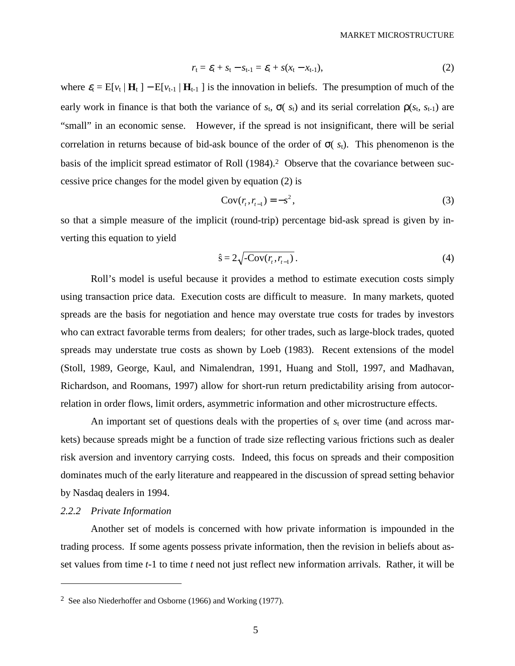$$
r_{t} = \varepsilon_{t} + s_{t} - s_{t-1} = \varepsilon_{t} + s(x_{t} - x_{t-1}),
$$
\n
$$
(2)
$$

where  $\varepsilon_t = E[v_t | H_t] - E[v_{t-1} | H_{t-1}]$  is the innovation in beliefs. The presumption of much of the early work in finance is that both the variance of  $s_t$ ,  $\sigma(s_t)$  and its serial correlation  $\rho(s_t, s_{t-1})$  are "small" in an economic sense. However, if the spread is not insignificant, there will be serial correlation in returns because of bid-ask bounce of the order of  $\sigma(s_t)$ . This phenomenon is the basis of the implicit spread estimator of Roll (1984).2 Observe that the covariance between successive price changes for the model given by equation (2) is

$$
Cov(r_t, r_{t-1}) = -s^2,
$$
\n(3)

so that a simple measure of the implicit (round-trip) percentage bid-ask spread is given by inverting this equation to yield

$$
\hat{\mathbf{s}} = 2\sqrt{-\text{Cov}(r_t, r_{t-1})} \,. \tag{4}
$$

Roll's model is useful because it provides a method to estimate execution costs simply using transaction price data. Execution costs are difficult to measure. In many markets, quoted spreads are the basis for negotiation and hence may overstate true costs for trades by investors who can extract favorable terms from dealers; for other trades, such as large-block trades, quoted spreads may understate true costs as shown by Loeb (1983). Recent extensions of the model (Stoll, 1989, George, Kaul, and Nimalendran, 1991, Huang and Stoll, 1997, and Madhavan, Richardson, and Roomans, 1997) allow for short-run return predictability arising from autocorrelation in order flows, limit orders, asymmetric information and other microstructure effects.

An important set of questions deals with the properties of  $s_t$  over time (and across markets) because spreads might be a function of trade size reflecting various frictions such as dealer risk aversion and inventory carrying costs. Indeed, this focus on spreads and their composition dominates much of the early literature and reappeared in the discussion of spread setting behavior by Nasdaq dealers in 1994.

### *2.2.2 Private Information*

 $\overline{a}$ 

Another set of models is concerned with how private information is impounded in the trading process. If some agents possess private information, then the revision in beliefs about asset values from time *t*-1 to time *t* need not just reflect new information arrivals. Rather, it will be

<sup>2</sup> See also Niederhoffer and Osborne (1966) and Working (1977).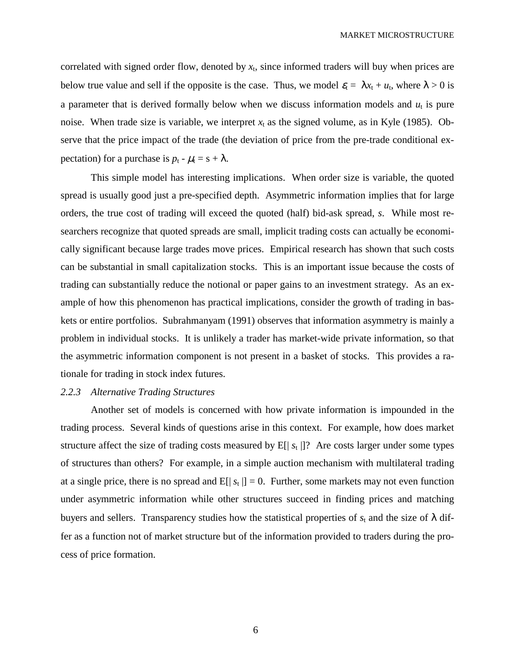correlated with signed order flow, denoted by  $x_t$ , since informed traders will buy when prices are below true value and sell if the opposite is the case. Thus, we model  $\varepsilon_t = \lambda x_t + u_t$ , where  $\lambda > 0$  is a parameter that is derived formally below when we discuss information models and  $u_t$  is pure noise. When trade size is variable, we interpret  $x_t$  as the signed volume, as in Kyle (1985). Observe that the price impact of the trade (the deviation of price from the pre-trade conditional expectation) for a purchase is  $p_t - \mu_t = s + \lambda$ .

This simple model has interesting implications. When order size is variable, the quoted spread is usually good just a pre-specified depth. Asymmetric information implies that for large orders, the true cost of trading will exceed the quoted (half) bid-ask spread, *s*. While most researchers recognize that quoted spreads are small, implicit trading costs can actually be economically significant because large trades move prices. Empirical research has shown that such costs can be substantial in small capitalization stocks. This is an important issue because the costs of trading can substantially reduce the notional or paper gains to an investment strategy. As an example of how this phenomenon has practical implications, consider the growth of trading in baskets or entire portfolios. Subrahmanyam (1991) observes that information asymmetry is mainly a problem in individual stocks. It is unlikely a trader has market-wide private information, so that the asymmetric information component is not present in a basket of stocks. This provides a rationale for trading in stock index futures.

#### *2.2.3 Alternative Trading Structures*

Another set of models is concerned with how private information is impounded in the trading process. Several kinds of questions arise in this context. For example, how does market structure affect the size of trading costs measured by  $E[|s_t|]$ ? Are costs larger under some types of structures than others? For example, in a simple auction mechanism with multilateral trading at a single price, there is no spread and  $E[|s_t|] = 0$ . Further, some markets may not even function under asymmetric information while other structures succeed in finding prices and matching buyers and sellers. Transparency studies how the statistical properties of  $s_t$  and the size of  $\lambda$  differ as a function not of market structure but of the information provided to traders during the process of price formation.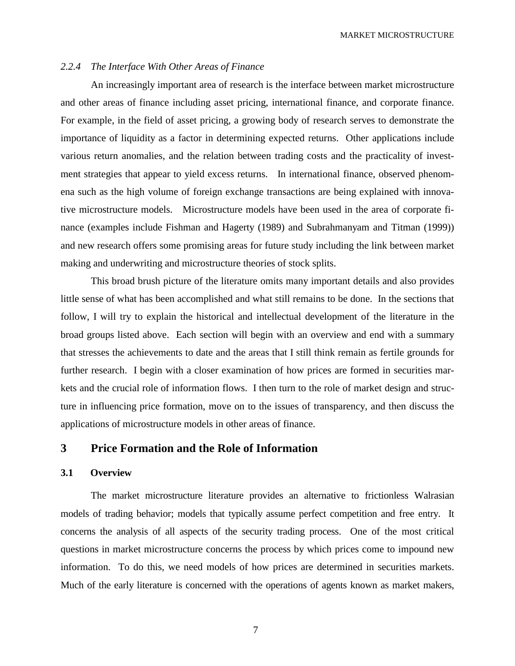### *2.2.4 The Interface With Other Areas of Finance*

An increasingly important area of research is the interface between market microstructure and other areas of finance including asset pricing, international finance, and corporate finance. For example, in the field of asset pricing, a growing body of research serves to demonstrate the importance of liquidity as a factor in determining expected returns. Other applications include various return anomalies, and the relation between trading costs and the practicality of investment strategies that appear to yield excess returns. In international finance, observed phenomena such as the high volume of foreign exchange transactions are being explained with innovative microstructure models. Microstructure models have been used in the area of corporate finance (examples include Fishman and Hagerty (1989) and Subrahmanyam and Titman (1999)) and new research offers some promising areas for future study including the link between market making and underwriting and microstructure theories of stock splits.

This broad brush picture of the literature omits many important details and also provides little sense of what has been accomplished and what still remains to be done. In the sections that follow, I will try to explain the historical and intellectual development of the literature in the broad groups listed above. Each section will begin with an overview and end with a summary that stresses the achievements to date and the areas that I still think remain as fertile grounds for further research. I begin with a closer examination of how prices are formed in securities markets and the crucial role of information flows. I then turn to the role of market design and structure in influencing price formation, move on to the issues of transparency, and then discuss the applications of microstructure models in other areas of finance.

# **3 Price Formation and the Role of Information**

### **3.1 Overview**

The market microstructure literature provides an alternative to frictionless Walrasian models of trading behavior; models that typically assume perfect competition and free entry. It concerns the analysis of all aspects of the security trading process. One of the most critical questions in market microstructure concerns the process by which prices come to impound new information. To do this, we need models of how prices are determined in securities markets. Much of the early literature is concerned with the operations of agents known as market makers,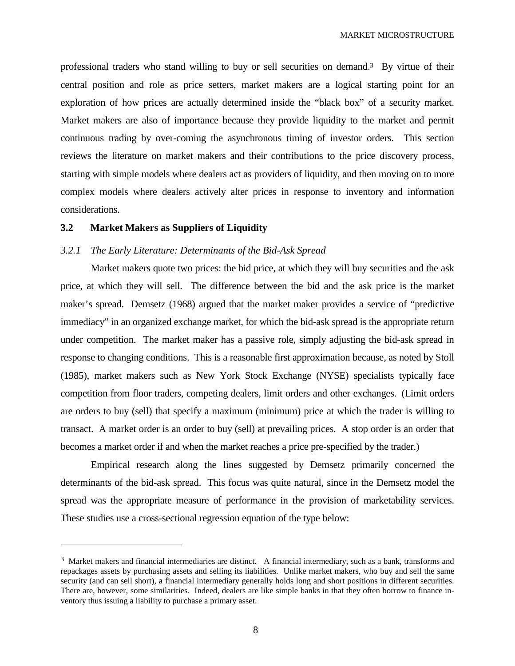professional traders who stand willing to buy or sell securities on demand.3 By virtue of their central position and role as price setters, market makers are a logical starting point for an exploration of how prices are actually determined inside the "black box" of a security market. Market makers are also of importance because they provide liquidity to the market and permit continuous trading by over-coming the asynchronous timing of investor orders. This section reviews the literature on market makers and their contributions to the price discovery process, starting with simple models where dealers act as providers of liquidity, and then moving on to more complex models where dealers actively alter prices in response to inventory and information considerations.

### **3.2 Market Makers as Suppliers of Liquidity**

 $\overline{a}$ 

### *3.2.1 The Early Literature: Determinants of the Bid-Ask Spread*

Market makers quote two prices: the bid price, at which they will buy securities and the ask price, at which they will sell. The difference between the bid and the ask price is the market maker's spread. Demsetz (1968) argued that the market maker provides a service of "predictive immediacy" in an organized exchange market, for which the bid-ask spread is the appropriate return under competition. The market maker has a passive role, simply adjusting the bid-ask spread in response to changing conditions. This is a reasonable first approximation because, as noted by Stoll (1985), market makers such as New York Stock Exchange (NYSE) specialists typically face competition from floor traders, competing dealers, limit orders and other exchanges. (Limit orders are orders to buy (sell) that specify a maximum (minimum) price at which the trader is willing to transact. A market order is an order to buy (sell) at prevailing prices. A stop order is an order that becomes a market order if and when the market reaches a price pre-specified by the trader.)

Empirical research along the lines suggested by Demsetz primarily concerned the determinants of the bid-ask spread. This focus was quite natural, since in the Demsetz model the spread was the appropriate measure of performance in the provision of marketability services. These studies use a cross-sectional regression equation of the type below:

<sup>&</sup>lt;sup>3</sup> Market makers and financial intermediaries are distinct. A financial intermediary, such as a bank, transforms and repackages assets by purchasing assets and selling its liabilities. Unlike market makers, who buy and sell the same security (and can sell short), a financial intermediary generally holds long and short positions in different securities. There are, however, some similarities. Indeed, dealers are like simple banks in that they often borrow to finance inventory thus issuing a liability to purchase a primary asset.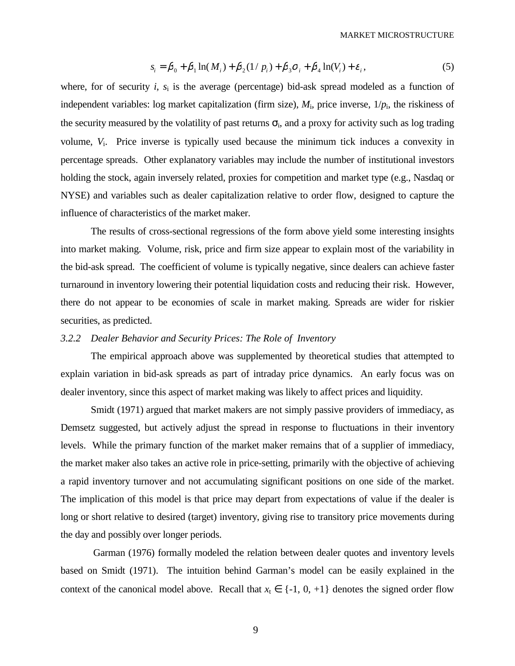$$
s_i = \beta_0 + \beta_1 \ln(M_i) + \beta_2 (1/p_i) + \beta_3 \sigma_i + \beta_4 \ln(V_i) + \varepsilon_i,
$$
 (5)

where, for of security *i*,  $s_i$  is the average (percentage) bid-ask spread modeled as a function of independent variables: log market capitalization (firm size), *M*i, price inverse, 1/*p*i, the riskiness of the security measured by the volatility of past returns  $\sigma_i$ , and a proxy for activity such as log trading volume, *V*i. Price inverse is typically used because the minimum tick induces a convexity in percentage spreads. Other explanatory variables may include the number of institutional investors holding the stock, again inversely related, proxies for competition and market type (e.g., Nasdaq or NYSE) and variables such as dealer capitalization relative to order flow, designed to capture the influence of characteristics of the market maker.

The results of cross-sectional regressions of the form above yield some interesting insights into market making. Volume, risk, price and firm size appear to explain most of the variability in the bid-ask spread. The coefficient of volume is typically negative, since dealers can achieve faster turnaround in inventory lowering their potential liquidation costs and reducing their risk. However, there do not appear to be economies of scale in market making. Spreads are wider for riskier securities, as predicted.

# *3.2.2 Dealer Behavior and Security Prices: The Role of Inventory*

The empirical approach above was supplemented by theoretical studies that attempted to explain variation in bid-ask spreads as part of intraday price dynamics. An early focus was on dealer inventory, since this aspect of market making was likely to affect prices and liquidity.

Smidt (1971) argued that market makers are not simply passive providers of immediacy, as Demsetz suggested, but actively adjust the spread in response to fluctuations in their inventory levels. While the primary function of the market maker remains that of a supplier of immediacy, the market maker also takes an active role in price-setting, primarily with the objective of achieving a rapid inventory turnover and not accumulating significant positions on one side of the market. The implication of this model is that price may depart from expectations of value if the dealer is long or short relative to desired (target) inventory, giving rise to transitory price movements during the day and possibly over longer periods.

 Garman (1976) formally modeled the relation between dealer quotes and inventory levels based on Smidt (1971). The intuition behind Garman's model can be easily explained in the context of the canonical model above. Recall that  $x_t \in \{-1, 0, +1\}$  denotes the signed order flow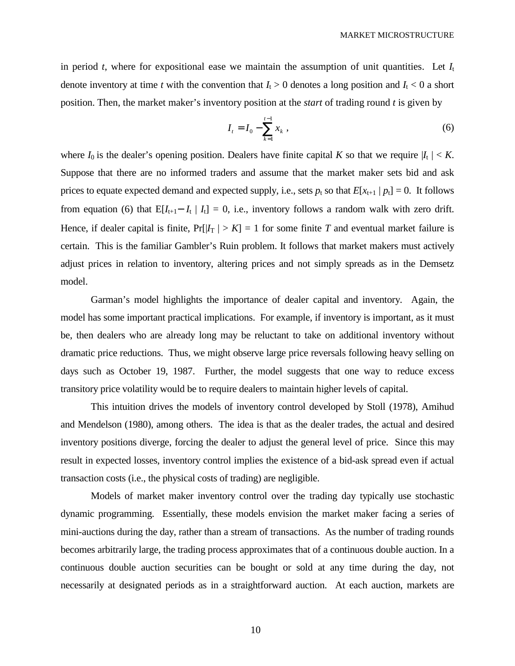in period *t*, where for expositional ease we maintain the assumption of unit quantities. Let  $I_t$ denote inventory at time *t* with the convention that  $I_t > 0$  denotes a long position and  $I_t < 0$  a short position. Then, the market maker's inventory position at the *start* of trading round *t* is given by

$$
I_t = I_0 - \sum_{k=1}^{t-1} x_k \t{,} \t(6)
$$

where  $I_0$  is the dealer's opening position. Dealers have finite capital *K* so that we require  $|I_t| < K$ . Suppose that there are no informed traders and assume that the market maker sets bid and ask prices to equate expected demand and expected supply, i.e., sets  $p_t$  so that  $E[x_{t+1} | p_t] = 0$ . It follows from equation (6) that  $E[I_{t+1}-I_t | I_t] = 0$ , i.e., inventory follows a random walk with zero drift. Hence, if dealer capital is finite,  $Pr[|I_T| > K] = 1$  for some finite *T* and eventual market failure is certain. This is the familiar Gambler's Ruin problem. It follows that market makers must actively adjust prices in relation to inventory, altering prices and not simply spreads as in the Demsetz model.

Garman's model highlights the importance of dealer capital and inventory. Again, the model has some important practical implications. For example, if inventory is important, as it must be, then dealers who are already long may be reluctant to take on additional inventory without dramatic price reductions. Thus, we might observe large price reversals following heavy selling on days such as October 19, 1987. Further, the model suggests that one way to reduce excess transitory price volatility would be to require dealers to maintain higher levels of capital.

This intuition drives the models of inventory control developed by Stoll (1978), Amihud and Mendelson (1980), among others. The idea is that as the dealer trades, the actual and desired inventory positions diverge, forcing the dealer to adjust the general level of price. Since this may result in expected losses, inventory control implies the existence of a bid-ask spread even if actual transaction costs (i.e., the physical costs of trading) are negligible.

Models of market maker inventory control over the trading day typically use stochastic dynamic programming. Essentially, these models envision the market maker facing a series of mini-auctions during the day, rather than a stream of transactions. As the number of trading rounds becomes arbitrarily large, the trading process approximates that of a continuous double auction. In a continuous double auction securities can be bought or sold at any time during the day, not necessarily at designated periods as in a straightforward auction. At each auction, markets are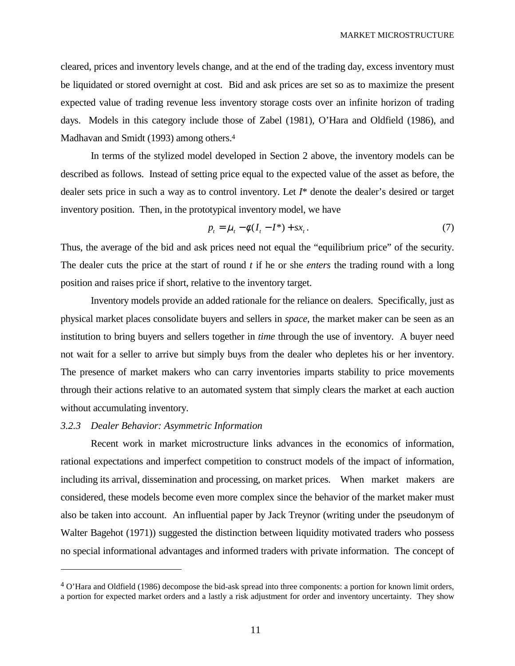cleared, prices and inventory levels change, and at the end of the trading day, excess inventory must be liquidated or stored overnight at cost. Bid and ask prices are set so as to maximize the present expected value of trading revenue less inventory storage costs over an infinite horizon of trading days. Models in this category include those of Zabel (1981), O'Hara and Oldfield (1986), and Madhavan and Smidt (1993) among others.4

In terms of the stylized model developed in Section 2 above, the inventory models can be described as follows. Instead of setting price equal to the expected value of the asset as before, the dealer sets price in such a way as to control inventory. Let *I*\* denote the dealer's desired or target inventory position. Then, in the prototypical inventory model, we have

$$
p_t = \mu_t - \phi(I_t - I^*) + sx_t. \tag{7}
$$

Thus, the average of the bid and ask prices need not equal the "equilibrium price" of the security. The dealer cuts the price at the start of round *t* if he or she *enters* the trading round with a long position and raises price if short, relative to the inventory target.

Inventory models provide an added rationale for the reliance on dealers. Specifically, just as physical market places consolidate buyers and sellers in *space*, the market maker can be seen as an institution to bring buyers and sellers together in *time* through the use of inventory. A buyer need not wait for a seller to arrive but simply buys from the dealer who depletes his or her inventory. The presence of market makers who can carry inventories imparts stability to price movements through their actions relative to an automated system that simply clears the market at each auction without accumulating inventory.

### *3.2.3 Dealer Behavior: Asymmetric Information*

 $\overline{a}$ 

Recent work in market microstructure links advances in the economics of information, rational expectations and imperfect competition to construct models of the impact of information, including its arrival, dissemination and processing, on market prices. When market makers are considered, these models become even more complex since the behavior of the market maker must also be taken into account. An influential paper by Jack Treynor (writing under the pseudonym of Walter Bagehot (1971)) suggested the distinction between liquidity motivated traders who possess no special informational advantages and informed traders with private information. The concept of

<sup>4</sup> O'Hara and Oldfield (1986) decompose the bid-ask spread into three components: a portion for known limit orders, a portion for expected market orders and a lastly a risk adjustment for order and inventory uncertainty. They show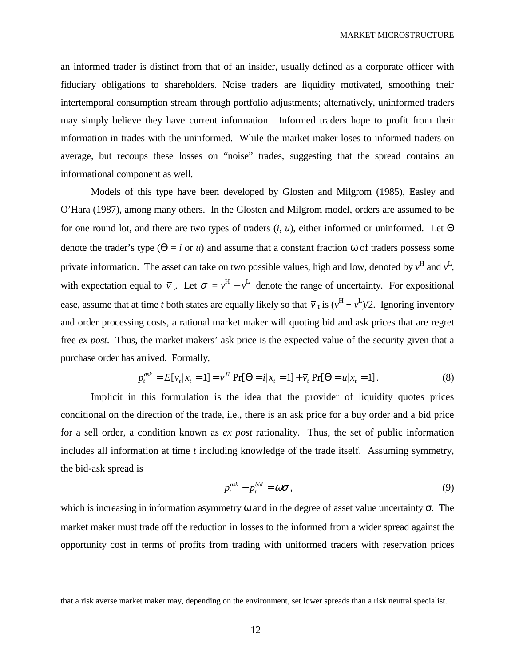an informed trader is distinct from that of an insider, usually defined as a corporate officer with fiduciary obligations to shareholders. Noise traders are liquidity motivated, smoothing their intertemporal consumption stream through portfolio adjustments; alternatively, uninformed traders may simply believe they have current information. Informed traders hope to profit from their information in trades with the uninformed. While the market maker loses to informed traders on average, but recoups these losses on "noise" trades, suggesting that the spread contains an informational component as well.

Models of this type have been developed by Glosten and Milgrom (1985), Easley and O'Hara (1987), among many others. In the Glosten and Milgrom model, orders are assumed to be for one round lot, and there are two types of traders (*i*, *u*), either informed or uninformed. Let Θ denote the trader's type ( $\Theta = i$  or *u*) and assume that a constant fraction  $\omega$  of traders possess some private information. The asset can take on two possible values, high and low, denoted by  $v^H$  and  $v^L$ , with expectation equal to  $\bar{v}_t$ . Let  $\sigma = v^H - v^L$  denote the range of uncertainty. For expositional ease, assume that at time *t* both states are equally likely so that  $\bar{v}_t$  is  $(v^H + v^L)/2$ . Ignoring inventory and order processing costs, a rational market maker will quoting bid and ask prices that are regret free *ex post*. Thus, the market makers' ask price is the expected value of the security given that a purchase order has arrived. Formally,

$$
p_t^{ask} = E[v_t | x_t = 1] = v^H \Pr[\Theta = i | x_t = 1] + \overline{v}_t \Pr[\Theta = u | x_t = 1].
$$
\n(8)

Implicit in this formulation is the idea that the provider of liquidity quotes prices conditional on the direction of the trade, i.e., there is an ask price for a buy order and a bid price for a sell order, a condition known as *ex post* rationality. Thus, the set of public information includes all information at time *t* including knowledge of the trade itself. Assuming symmetry, the bid-ask spread is

$$
p_t^{ask} - p_t^{bid} = \omega \sigma, \qquad (9)
$$

which is increasing in information asymmetry  $\omega$  and in the degree of asset value uncertainty  $\sigma$ . The market maker must trade off the reduction in losses to the informed from a wider spread against the opportunity cost in terms of profits from trading with uniformed traders with reservation prices

 $\overline{a}$ 

that a risk averse market maker may, depending on the environment, set lower spreads than a risk neutral specialist.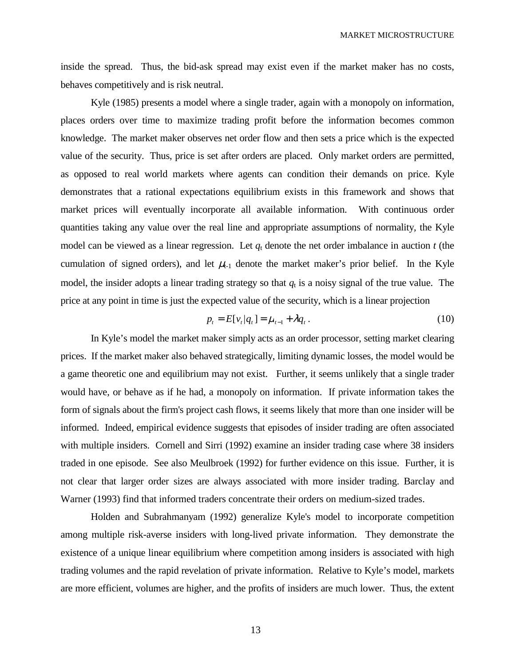inside the spread. Thus, the bid-ask spread may exist even if the market maker has no costs, behaves competitively and is risk neutral.

Kyle (1985) presents a model where a single trader, again with a monopoly on information, places orders over time to maximize trading profit before the information becomes common knowledge. The market maker observes net order flow and then sets a price which is the expected value of the security. Thus, price is set after orders are placed. Only market orders are permitted, as opposed to real world markets where agents can condition their demands on price. Kyle demonstrates that a rational expectations equilibrium exists in this framework and shows that market prices will eventually incorporate all available information. With continuous order quantities taking any value over the real line and appropriate assumptions of normality, the Kyle model can be viewed as a linear regression. Let  $q_t$  denote the net order imbalance in auction  $t$  (the cumulation of signed orders), and let  $\mu_{t-1}$  denote the market maker's prior belief. In the Kyle model, the insider adopts a linear trading strategy so that  $q_t$  is a noisy signal of the true value. The price at any point in time is just the expected value of the security, which is a linear projection

$$
p_t = E[v_t|q_t] = \mu_{t-1} + \lambda q_t.
$$
 (10)

In Kyle's model the market maker simply acts as an order processor, setting market clearing prices. If the market maker also behaved strategically, limiting dynamic losses, the model would be a game theoretic one and equilibrium may not exist. Further, it seems unlikely that a single trader would have, or behave as if he had, a monopoly on information. If private information takes the form of signals about the firm's project cash flows, it seems likely that more than one insider will be informed. Indeed, empirical evidence suggests that episodes of insider trading are often associated with multiple insiders. Cornell and Sirri (1992) examine an insider trading case where 38 insiders traded in one episode. See also Meulbroek (1992) for further evidence on this issue. Further, it is not clear that larger order sizes are always associated with more insider trading. Barclay and Warner (1993) find that informed traders concentrate their orders on medium-sized trades.

Holden and Subrahmanyam (1992) generalize Kyle's model to incorporate competition among multiple risk-averse insiders with long-lived private information. They demonstrate the existence of a unique linear equilibrium where competition among insiders is associated with high trading volumes and the rapid revelation of private information. Relative to Kyle's model, markets are more efficient, volumes are higher, and the profits of insiders are much lower. Thus, the extent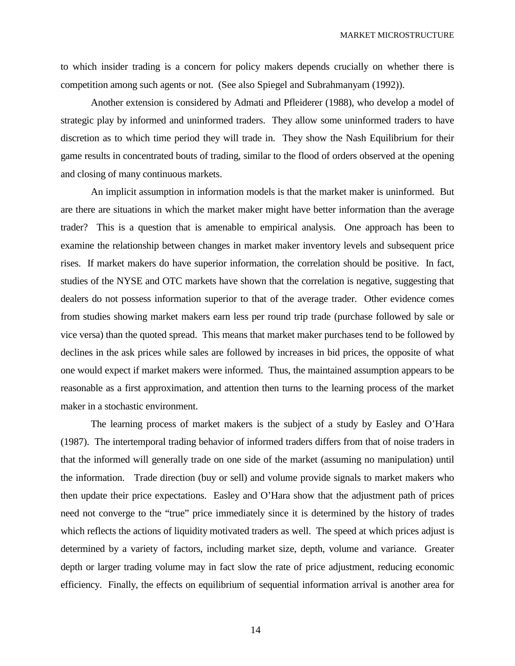to which insider trading is a concern for policy makers depends crucially on whether there is competition among such agents or not. (See also Spiegel and Subrahmanyam (1992)).

Another extension is considered by Admati and Pfleiderer (1988), who develop a model of strategic play by informed and uninformed traders. They allow some uninformed traders to have discretion as to which time period they will trade in. They show the Nash Equilibrium for their game results in concentrated bouts of trading, similar to the flood of orders observed at the opening and closing of many continuous markets.

An implicit assumption in information models is that the market maker is uninformed. But are there are situations in which the market maker might have better information than the average trader? This is a question that is amenable to empirical analysis. One approach has been to examine the relationship between changes in market maker inventory levels and subsequent price rises. If market makers do have superior information, the correlation should be positive. In fact, studies of the NYSE and OTC markets have shown that the correlation is negative, suggesting that dealers do not possess information superior to that of the average trader. Other evidence comes from studies showing market makers earn less per round trip trade (purchase followed by sale or vice versa) than the quoted spread. This means that market maker purchases tend to be followed by declines in the ask prices while sales are followed by increases in bid prices, the opposite of what one would expect if market makers were informed. Thus, the maintained assumption appears to be reasonable as a first approximation, and attention then turns to the learning process of the market maker in a stochastic environment.

The learning process of market makers is the subject of a study by Easley and O'Hara (1987). The intertemporal trading behavior of informed traders differs from that of noise traders in that the informed will generally trade on one side of the market (assuming no manipulation) until the information. Trade direction (buy or sell) and volume provide signals to market makers who then update their price expectations. Easley and O'Hara show that the adjustment path of prices need not converge to the "true" price immediately since it is determined by the history of trades which reflects the actions of liquidity motivated traders as well. The speed at which prices adjust is determined by a variety of factors, including market size, depth, volume and variance. Greater depth or larger trading volume may in fact slow the rate of price adjustment, reducing economic efficiency. Finally, the effects on equilibrium of sequential information arrival is another area for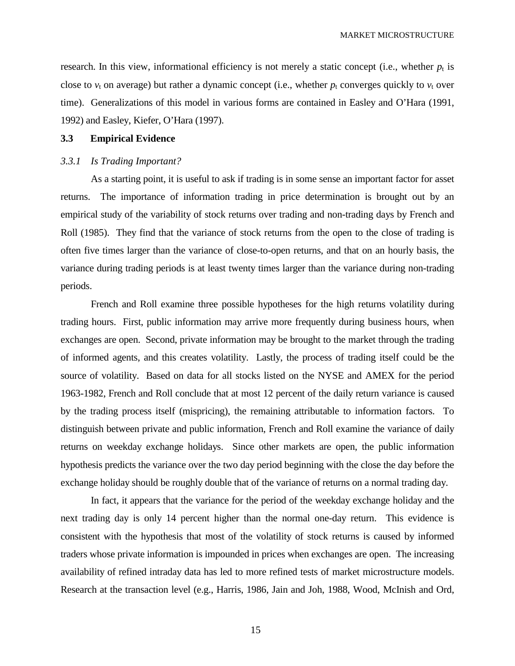research. In this view, informational efficiency is not merely a static concept (i.e., whether  $p_t$  is close to  $v_t$  on average) but rather a dynamic concept (i.e., whether  $p_t$  converges quickly to  $v_t$  over time). Generalizations of this model in various forms are contained in Easley and O'Hara (1991, 1992) and Easley, Kiefer, O'Hara (1997).

# **3.3 Empirical Evidence**

### *3.3.1 Is Trading Important?*

As a starting point, it is useful to ask if trading is in some sense an important factor for asset returns. The importance of information trading in price determination is brought out by an empirical study of the variability of stock returns over trading and non-trading days by French and Roll (1985). They find that the variance of stock returns from the open to the close of trading is often five times larger than the variance of close-to-open returns, and that on an hourly basis, the variance during trading periods is at least twenty times larger than the variance during non-trading periods.

French and Roll examine three possible hypotheses for the high returns volatility during trading hours. First, public information may arrive more frequently during business hours, when exchanges are open. Second, private information may be brought to the market through the trading of informed agents, and this creates volatility. Lastly, the process of trading itself could be the source of volatility. Based on data for all stocks listed on the NYSE and AMEX for the period 1963-1982, French and Roll conclude that at most 12 percent of the daily return variance is caused by the trading process itself (mispricing), the remaining attributable to information factors. To distinguish between private and public information, French and Roll examine the variance of daily returns on weekday exchange holidays. Since other markets are open, the public information hypothesis predicts the variance over the two day period beginning with the close the day before the exchange holiday should be roughly double that of the variance of returns on a normal trading day.

In fact, it appears that the variance for the period of the weekday exchange holiday and the next trading day is only 14 percent higher than the normal one-day return. This evidence is consistent with the hypothesis that most of the volatility of stock returns is caused by informed traders whose private information is impounded in prices when exchanges are open. The increasing availability of refined intraday data has led to more refined tests of market microstructure models. Research at the transaction level (e.g., Harris, 1986, Jain and Joh, 1988, Wood, McInish and Ord,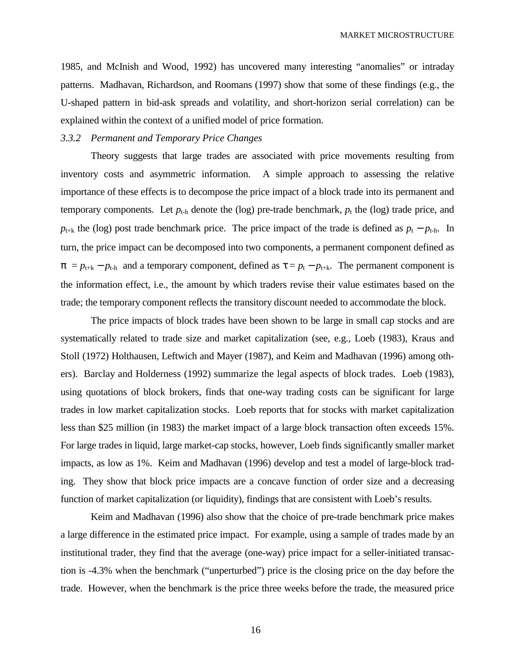1985, and McInish and Wood, 1992) has uncovered many interesting "anomalies" or intraday patterns. Madhavan, Richardson, and Roomans (1997) show that some of these findings (e.g., the U-shaped pattern in bid-ask spreads and volatility, and short-horizon serial correlation) can be explained within the context of a unified model of price formation.

## *3.3.2 Permanent and Temporary Price Changes*

Theory suggests that large trades are associated with price movements resulting from inventory costs and asymmetric information. A simple approach to assessing the relative importance of these effects is to decompose the price impact of a block trade into its permanent and temporary components. Let  $p_{t-h}$  denote the (log) pre-trade benchmark,  $p_t$  the (log) trade price, and  $p_{t+k}$  the (log) post trade benchmark price. The price impact of the trade is defined as  $p_t - p_{t-h}$ . In turn, the price impact can be decomposed into two components, a permanent component defined as  $\pi = p_{t+k} - p_{t-h}$  and a temporary component, defined as  $\tau = p_t - p_{t+k}$ . The permanent component is the information effect, i.e., the amount by which traders revise their value estimates based on the trade; the temporary component reflects the transitory discount needed to accommodate the block.

The price impacts of block trades have been shown to be large in small cap stocks and are systematically related to trade size and market capitalization (see, e.g., Loeb (1983), Kraus and Stoll (1972) Holthausen, Leftwich and Mayer (1987), and Keim and Madhavan (1996) among others). Barclay and Holderness (1992) summarize the legal aspects of block trades. Loeb (1983), using quotations of block brokers, finds that one-way trading costs can be significant for large trades in low market capitalization stocks. Loeb reports that for stocks with market capitalization less than \$25 million (in 1983) the market impact of a large block transaction often exceeds 15%. For large trades in liquid, large market-cap stocks, however, Loeb finds significantly smaller market impacts, as low as 1%. Keim and Madhavan (1996) develop and test a model of large-block trading. They show that block price impacts are a concave function of order size and a decreasing function of market capitalization (or liquidity), findings that are consistent with Loeb's results.

Keim and Madhavan (1996) also show that the choice of pre-trade benchmark price makes a large difference in the estimated price impact. For example, using a sample of trades made by an institutional trader, they find that the average (one-way) price impact for a seller-initiated transaction is -4.3% when the benchmark ("unperturbed") price is the closing price on the day before the trade. However, when the benchmark is the price three weeks before the trade, the measured price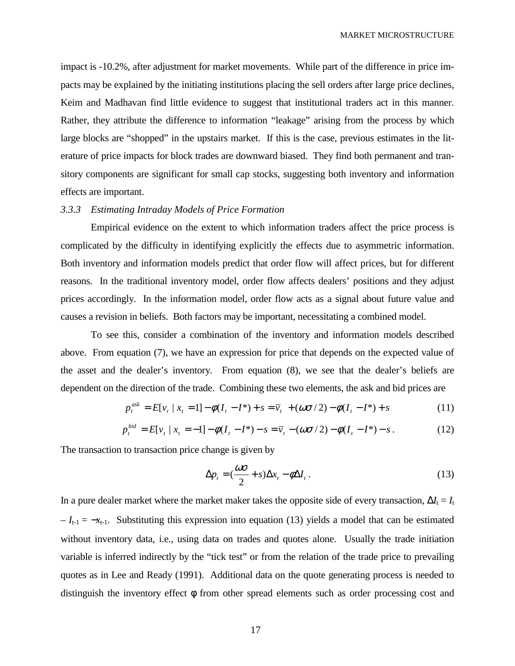impact is -10.2%, after adjustment for market movements. While part of the difference in price impacts may be explained by the initiating institutions placing the sell orders after large price declines, Keim and Madhavan find little evidence to suggest that institutional traders act in this manner. Rather, they attribute the difference to information "leakage" arising from the process by which large blocks are "shopped" in the upstairs market. If this is the case, previous estimates in the literature of price impacts for block trades are downward biased. They find both permanent and transitory components are significant for small cap stocks, suggesting both inventory and information effects are important.

### *3.3.3 Estimating Intraday Models of Price Formation*

Empirical evidence on the extent to which information traders affect the price process is complicated by the difficulty in identifying explicitly the effects due to asymmetric information. Both inventory and information models predict that order flow will affect prices, but for different reasons. In the traditional inventory model, order flow affects dealers' positions and they adjust prices accordingly. In the information model, order flow acts as a signal about future value and causes a revision in beliefs. Both factors may be important, necessitating a combined model.

To see this, consider a combination of the inventory and information models described above. From equation (7), we have an expression for price that depends on the expected value of the asset and the dealer's inventory. From equation (8), we see that the dealer's beliefs are dependent on the direction of the trade. Combining these two elements, the ask and bid prices are

$$
p_t^{ask} = E[v_t \mid x_t = 1] - \phi(I_t - I^*) + s = \overline{v}_t + (\omega \sigma / 2) - \phi(I_t - I^*) + s \tag{11}
$$

$$
p_t^{bid} = E[v_t \mid x_t = -1] - \phi(I_t - I^*) - s = \overline{v}_t - (\omega \sigma / 2) - \phi(I_t - I^*) - s. \tag{12}
$$

The transaction to transaction price change is given by

$$
\Delta p_t = \left(\frac{\omega \sigma}{2} + s\right) \Delta x_t - \phi \Delta I_t \,. \tag{13}
$$

In a pure dealer market where the market maker takes the opposite side of every transaction,  $\Delta I_t = I_t$  $-I_{t-1} = -x_{t-1}$ . Substituting this expression into equation (13) yields a model that can be estimated without inventory data, i.e., using data on trades and quotes alone. Usually the trade initiation variable is inferred indirectly by the "tick test" or from the relation of the trade price to prevailing quotes as in Lee and Ready (1991). Additional data on the quote generating process is needed to distinguish the inventory effect φ from other spread elements such as order processing cost and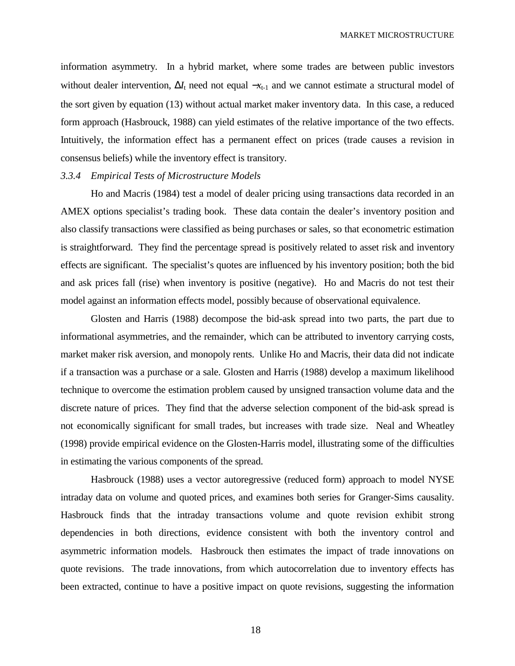information asymmetry. In a hybrid market, where some trades are between public investors without dealer intervention,  $\Delta I_t$  need not equal  $-x_{t-1}$  and we cannot estimate a structural model of the sort given by equation (13) without actual market maker inventory data. In this case, a reduced form approach (Hasbrouck, 1988) can yield estimates of the relative importance of the two effects. Intuitively, the information effect has a permanent effect on prices (trade causes a revision in consensus beliefs) while the inventory effect is transitory.

### *3.3.4 Empirical Tests of Microstructure Models*

Ho and Macris (1984) test a model of dealer pricing using transactions data recorded in an AMEX options specialist's trading book. These data contain the dealer's inventory position and also classify transactions were classified as being purchases or sales, so that econometric estimation is straightforward. They find the percentage spread is positively related to asset risk and inventory effects are significant. The specialist's quotes are influenced by his inventory position; both the bid and ask prices fall (rise) when inventory is positive (negative). Ho and Macris do not test their model against an information effects model, possibly because of observational equivalence.

Glosten and Harris (1988) decompose the bid-ask spread into two parts, the part due to informational asymmetries, and the remainder, which can be attributed to inventory carrying costs, market maker risk aversion, and monopoly rents. Unlike Ho and Macris, their data did not indicate if a transaction was a purchase or a sale. Glosten and Harris (1988) develop a maximum likelihood technique to overcome the estimation problem caused by unsigned transaction volume data and the discrete nature of prices. They find that the adverse selection component of the bid-ask spread is not economically significant for small trades, but increases with trade size. Neal and Wheatley (1998) provide empirical evidence on the Glosten-Harris model, illustrating some of the difficulties in estimating the various components of the spread.

Hasbrouck (1988) uses a vector autoregressive (reduced form) approach to model NYSE intraday data on volume and quoted prices, and examines both series for Granger-Sims causality. Hasbrouck finds that the intraday transactions volume and quote revision exhibit strong dependencies in both directions, evidence consistent with both the inventory control and asymmetric information models. Hasbrouck then estimates the impact of trade innovations on quote revisions. The trade innovations, from which autocorrelation due to inventory effects has been extracted, continue to have a positive impact on quote revisions, suggesting the information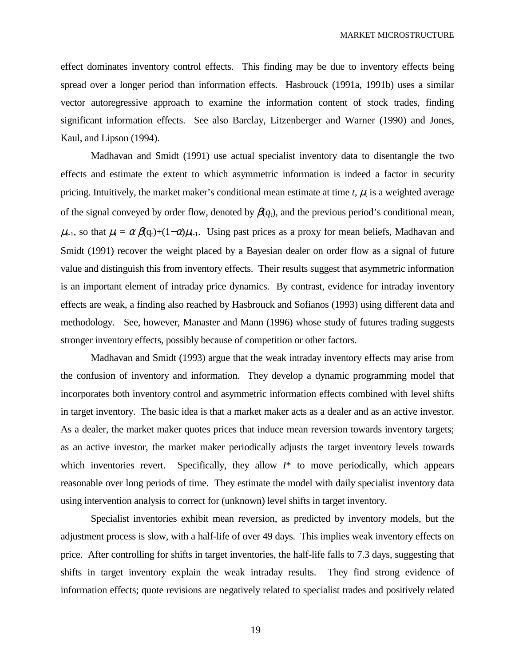effect dominates inventory control effects. This finding may be due to inventory effects being spread over a longer period than information effects. Hasbrouck (1991a, 1991b) uses a similar vector autoregressive approach to examine the information content of stock trades, finding significant information effects. See also Barclay, Litzenberger and Warner (1990) and Jones, Kaul, and Lipson (1994).

Madhavan and Smidt (1991) use actual specialist inventory data to disentangle the two effects and estimate the extent to which asymmetric information is indeed a factor in security pricing. Intuitively, the market maker's conditional mean estimate at time  $t$ ,  $\mu$  is a weighted average of the signal conveyed by order flow, denoted by  $\beta(q_t)$ , and the previous period's conditional mean,  $\mu_{t-1}$ , so that  $\mu_t = \alpha \beta(q_t)+(1-\alpha)\mu_{t-1}$ . Using past prices as a proxy for mean beliefs, Madhavan and Smidt (1991) recover the weight placed by a Bayesian dealer on order flow as a signal of future value and distinguish this from inventory effects. Their results suggest that asymmetric information is an important element of intraday price dynamics. By contrast, evidence for intraday inventory effects are weak, a finding also reached by Hasbrouck and Sofianos (1993) using different data and methodology. See, however, Manaster and Mann (1996) whose study of futures trading suggests stronger inventory effects, possibly because of competition or other factors.

Madhavan and Smidt (1993) argue that the weak intraday inventory effects may arise from the confusion of inventory and information. They develop a dynamic programming model that incorporates both inventory control and asymmetric information effects combined with level shifts in target inventory. The basic idea is that a market maker acts as a dealer and as an active investor. As a dealer, the market maker quotes prices that induce mean reversion towards inventory targets; as an active investor, the market maker periodically adjusts the target inventory levels towards which inventories revert. Specifically, they allow *I*\* to move periodically, which appears reasonable over long periods of time. They estimate the model with daily specialist inventory data using intervention analysis to correct for (unknown) level shifts in target inventory.

Specialist inventories exhibit mean reversion, as predicted by inventory models, but the adjustment process is slow, with a half-life of over 49 days. This implies weak inventory effects on price. After controlling for shifts in target inventories, the half-life falls to 7.3 days, suggesting that shifts in target inventory explain the weak intraday results. They find strong evidence of information effects; quote revisions are negatively related to specialist trades and positively related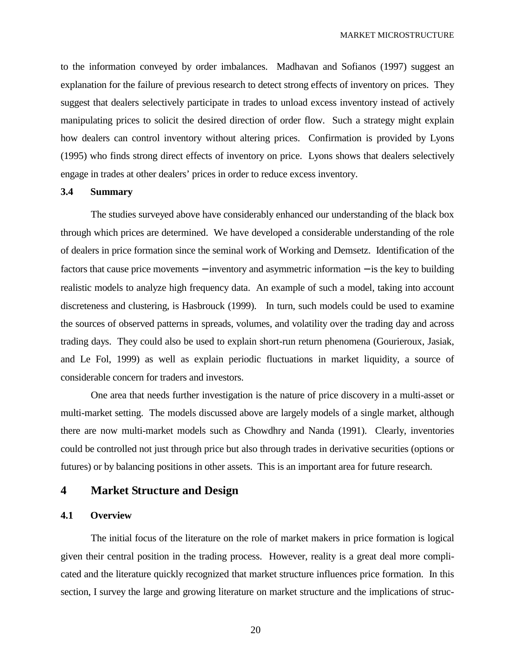to the information conveyed by order imbalances. Madhavan and Sofianos (1997) suggest an explanation for the failure of previous research to detect strong effects of inventory on prices. They suggest that dealers selectively participate in trades to unload excess inventory instead of actively manipulating prices to solicit the desired direction of order flow. Such a strategy might explain how dealers can control inventory without altering prices. Confirmation is provided by Lyons (1995) who finds strong direct effects of inventory on price. Lyons shows that dealers selectively engage in trades at other dealers' prices in order to reduce excess inventory.

### **3.4 Summary**

The studies surveyed above have considerably enhanced our understanding of the black box through which prices are determined. We have developed a considerable understanding of the role of dealers in price formation since the seminal work of Working and Demsetz. Identification of the factors that cause price movements − inventory and asymmetric information − is the key to building realistic models to analyze high frequency data. An example of such a model, taking into account discreteness and clustering, is Hasbrouck (1999). In turn, such models could be used to examine the sources of observed patterns in spreads, volumes, and volatility over the trading day and across trading days. They could also be used to explain short-run return phenomena (Gourieroux, Jasiak, and Le Fol, 1999) as well as explain periodic fluctuations in market liquidity, a source of considerable concern for traders and investors.

One area that needs further investigation is the nature of price discovery in a multi-asset or multi-market setting. The models discussed above are largely models of a single market, although there are now multi-market models such as Chowdhry and Nanda (1991). Clearly, inventories could be controlled not just through price but also through trades in derivative securities (options or futures) or by balancing positions in other assets. This is an important area for future research.

# **4 Market Structure and Design**

### **4.1 Overview**

The initial focus of the literature on the role of market makers in price formation is logical given their central position in the trading process. However, reality is a great deal more complicated and the literature quickly recognized that market structure influences price formation. In this section, I survey the large and growing literature on market structure and the implications of struc-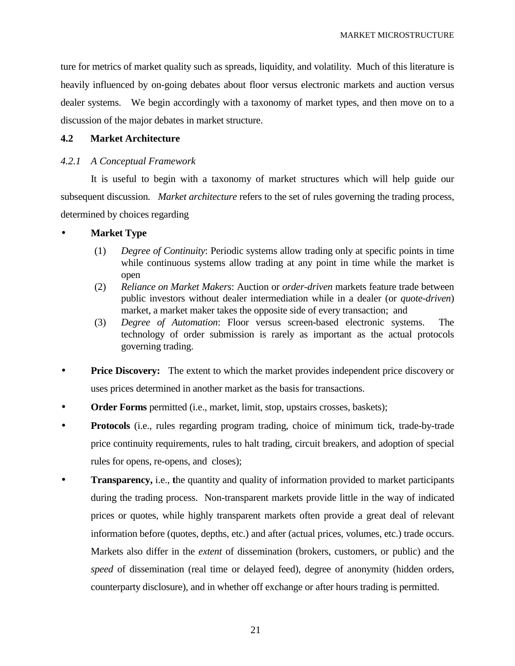ture for metrics of market quality such as spreads, liquidity, and volatility. Much of this literature is heavily influenced by on-going debates about floor versus electronic markets and auction versus dealer systems. We begin accordingly with a taxonomy of market types, and then move on to a discussion of the major debates in market structure.

# **4.2 Market Architecture**

# *4.2.1 A Conceptual Framework*

It is useful to begin with a taxonomy of market structures which will help guide our subsequent discussion*. Market architecture* refers to the set of rules governing the trading process, determined by choices regarding

# • **Market Type**

- (1) *Degree of Continuity*: Periodic systems allow trading only at specific points in time while continuous systems allow trading at any point in time while the market is open
- (2) *Reliance on Market Makers*: Auction or *order*-*driven* markets feature trade between public investors without dealer intermediation while in a dealer (or *quote-driven*) market, a market maker takes the opposite side of every transaction; and
- (3) *Degree of Automation*: Floor versus screen-based electronic systems. The technology of order submission is rarely as important as the actual protocols governing trading.
- **Price Discovery:** The extent to which the market provides independent price discovery or uses prices determined in another market as the basis for transactions.
- **Order Forms** permitted (i.e., market, limit, stop, upstairs crosses, baskets);
- **Protocols** (i.e., rules regarding program trading, choice of minimum tick, trade-by-trade price continuity requirements, rules to halt trading, circuit breakers, and adoption of special rules for opens, re-opens, and closes);
- **Transparency,** i.e., **t**he quantity and quality of information provided to market participants during the trading process. Non-transparent markets provide little in the way of indicated prices or quotes, while highly transparent markets often provide a great deal of relevant information before (quotes, depths, etc.) and after (actual prices, volumes, etc.) trade occurs. Markets also differ in the *extent* of dissemination (brokers, customers, or public) and the *speed* of dissemination (real time or delayed feed), degree of anonymity (hidden orders, counterparty disclosure), and in whether off exchange or after hours trading is permitted.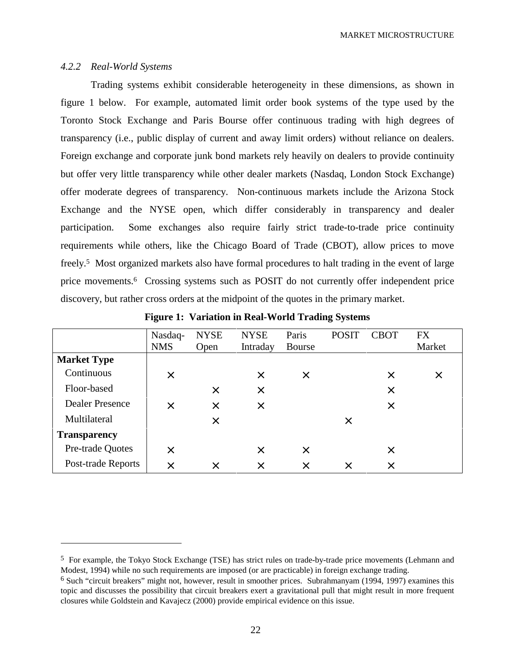### *4.2.2 Real-World Systems*

 $\overline{a}$ 

Trading systems exhibit considerable heterogeneity in these dimensions, as shown in figure 1 below. For example, automated limit order book systems of the type used by the Toronto Stock Exchange and Paris Bourse offer continuous trading with high degrees of transparency (i.e., public display of current and away limit orders) without reliance on dealers. Foreign exchange and corporate junk bond markets rely heavily on dealers to provide continuity but offer very little transparency while other dealer markets (Nasdaq, London Stock Exchange) offer moderate degrees of transparency. Non-continuous markets include the Arizona Stock Exchange and the NYSE open, which differ considerably in transparency and dealer participation. Some exchanges also require fairly strict trade-to-trade price continuity requirements while others, like the Chicago Board of Trade (CBOT), allow prices to move freely.5 Most organized markets also have formal procedures to halt trading in the event of large price movements.6 Crossing systems such as POSIT do not currently offer independent price discovery, but rather cross orders at the midpoint of the quotes in the primary market.

|                        | Nasdaq-    | <b>NYSE</b> | <b>NYSE</b> | Paris    | <b>POSIT</b> | <b>CBOT</b> | <b>FX</b> |
|------------------------|------------|-------------|-------------|----------|--------------|-------------|-----------|
|                        | <b>NMS</b> | Open        | Intraday    | Bourse   |              |             | Market    |
| <b>Market Type</b>     |            |             |             |          |              |             |           |
| Continuous             | X          |             | X           | $\times$ |              | X           | X         |
| Floor-based            |            | $\times$    | X           |          |              | $\times$    |           |
| <b>Dealer Presence</b> | X          | $\times$    | ×           |          |              | $\times$    |           |
| Multilateral           |            | X           |             |          | X            |             |           |
| <b>Transparency</b>    |            |             |             |          |              |             |           |
| Pre-trade Quotes       | X          |             | ×           | $\times$ |              | X           |           |
| Post-trade Reports     | ×          | $\times$    | ×           | $\times$ | ×            | ×           |           |

**Figure 1: Variation in Real-World Trading Systems**

<sup>5</sup> For example, the Tokyo Stock Exchange (TSE) has strict rules on trade-by-trade price movements (Lehmann and Modest, 1994) while no such requirements are imposed (or are practicable) in foreign exchange trading.

<sup>6</sup> Such "circuit breakers" might not, however, result in smoother prices. Subrahmanyam (1994, 1997) examines this topic and discusses the possibility that circuit breakers exert a gravitational pull that might result in more frequent closures while Goldstein and Kavajecz (2000) provide empirical evidence on this issue.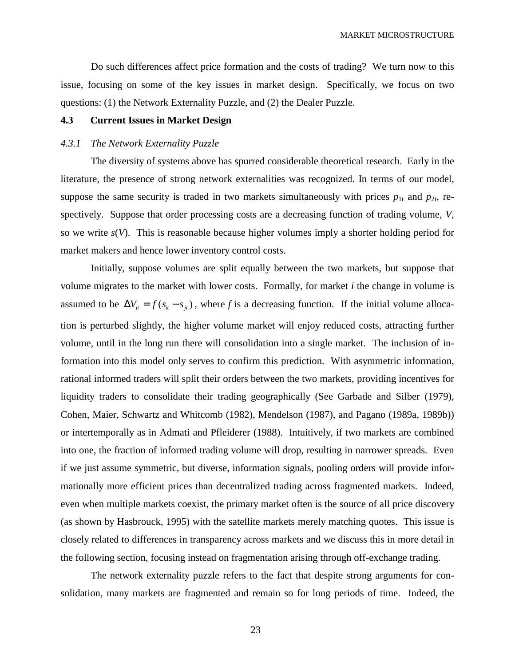Do such differences affect price formation and the costs of trading? We turn now to this issue, focusing on some of the key issues in market design. Specifically, we focus on two questions: (1) the Network Externality Puzzle, and (2) the Dealer Puzzle.

## **4.3 Current Issues in Market Design**

#### *4.3.1 The Network Externality Puzzle*

The diversity of systems above has spurred considerable theoretical research. Early in the literature, the presence of strong network externalities was recognized. In terms of our model, suppose the same security is traded in two markets simultaneously with prices  $p_{1t}$  and  $p_{2t}$ , respectively. Suppose that order processing costs are a decreasing function of trading volume, *V*, so we write *s*(*V*). This is reasonable because higher volumes imply a shorter holding period for market makers and hence lower inventory control costs.

Initially, suppose volumes are split equally between the two markets, but suppose that volume migrates to the market with lower costs. Formally, for market *i* the change in volume is assumed to be  $\Delta V_{it} = f(s_{it} - s_{jt})$ , where *f* is a decreasing function. If the initial volume allocation is perturbed slightly, the higher volume market will enjoy reduced costs, attracting further volume, until in the long run there will consolidation into a single market. The inclusion of information into this model only serves to confirm this prediction. With asymmetric information, rational informed traders will split their orders between the two markets, providing incentives for liquidity traders to consolidate their trading geographically (See Garbade and Silber (1979), Cohen, Maier, Schwartz and Whitcomb (1982), Mendelson (1987), and Pagano (1989a, 1989b)) or intertemporally as in Admati and Pfleiderer (1988). Intuitively, if two markets are combined into one, the fraction of informed trading volume will drop, resulting in narrower spreads. Even if we just assume symmetric, but diverse, information signals, pooling orders will provide informationally more efficient prices than decentralized trading across fragmented markets. Indeed, even when multiple markets coexist, the primary market often is the source of all price discovery (as shown by Hasbrouck, 1995) with the satellite markets merely matching quotes. This issue is closely related to differences in transparency across markets and we discuss this in more detail in the following section, focusing instead on fragmentation arising through off-exchange trading.

The network externality puzzle refers to the fact that despite strong arguments for consolidation, many markets are fragmented and remain so for long periods of time. Indeed, the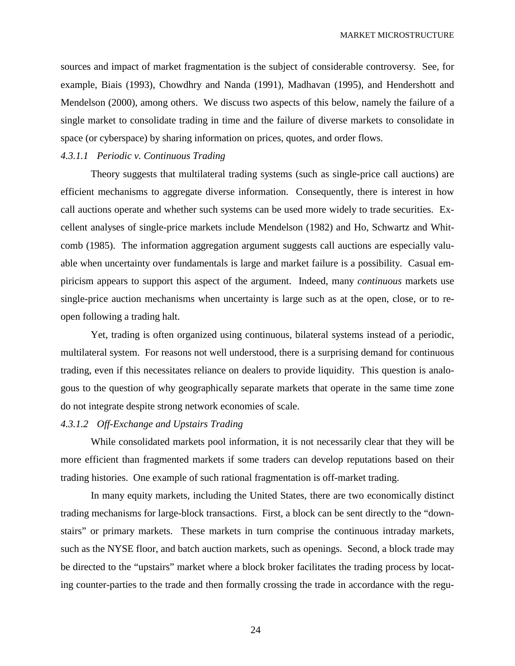sources and impact of market fragmentation is the subject of considerable controversy. See, for example, Biais (1993), Chowdhry and Nanda (1991), Madhavan (1995), and Hendershott and Mendelson (2000), among others. We discuss two aspects of this below, namely the failure of a single market to consolidate trading in time and the failure of diverse markets to consolidate in space (or cyberspace) by sharing information on prices, quotes, and order flows.

# *4.3.1.1 Periodic v. Continuous Trading*

Theory suggests that multilateral trading systems (such as single-price call auctions) are efficient mechanisms to aggregate diverse information. Consequently, there is interest in how call auctions operate and whether such systems can be used more widely to trade securities. Excellent analyses of single-price markets include Mendelson (1982) and Ho, Schwartz and Whitcomb (1985). The information aggregation argument suggests call auctions are especially valuable when uncertainty over fundamentals is large and market failure is a possibility. Casual empiricism appears to support this aspect of the argument. Indeed, many *continuous* markets use single-price auction mechanisms when uncertainty is large such as at the open, close, or to reopen following a trading halt.

Yet, trading is often organized using continuous, bilateral systems instead of a periodic, multilateral system. For reasons not well understood, there is a surprising demand for continuous trading, even if this necessitates reliance on dealers to provide liquidity. This question is analogous to the question of why geographically separate markets that operate in the same time zone do not integrate despite strong network economies of scale.

### *4.3.1.2 Off-Exchange and Upstairs Trading*

While consolidated markets pool information, it is not necessarily clear that they will be more efficient than fragmented markets if some traders can develop reputations based on their trading histories. One example of such rational fragmentation is off-market trading.

In many equity markets, including the United States, there are two economically distinct trading mechanisms for large-block transactions. First, a block can be sent directly to the "downstairs" or primary markets. These markets in turn comprise the continuous intraday markets, such as the NYSE floor, and batch auction markets, such as openings. Second, a block trade may be directed to the "upstairs" market where a block broker facilitates the trading process by locating counter-parties to the trade and then formally crossing the trade in accordance with the regu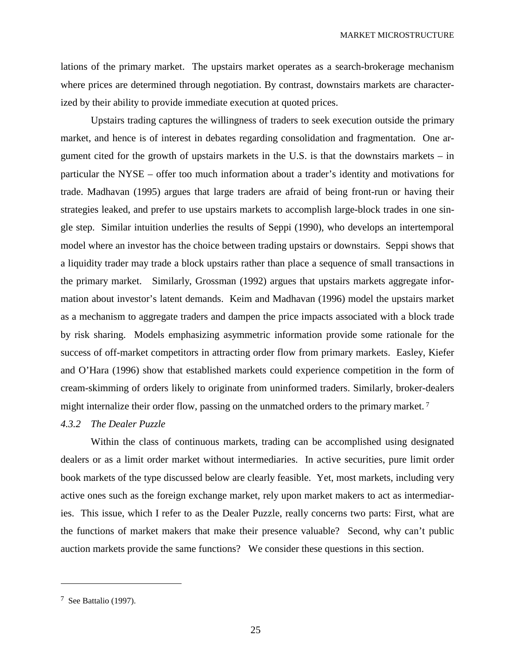lations of the primary market. The upstairs market operates as a search-brokerage mechanism where prices are determined through negotiation. By contrast, downstairs markets are characterized by their ability to provide immediate execution at quoted prices.

Upstairs trading captures the willingness of traders to seek execution outside the primary market, and hence is of interest in debates regarding consolidation and fragmentation. One argument cited for the growth of upstairs markets in the U.S. is that the downstairs markets – in particular the NYSE – offer too much information about a trader's identity and motivations for trade. Madhavan (1995) argues that large traders are afraid of being front-run or having their strategies leaked, and prefer to use upstairs markets to accomplish large-block trades in one single step. Similar intuition underlies the results of Seppi (1990), who develops an intertemporal model where an investor has the choice between trading upstairs or downstairs. Seppi shows that a liquidity trader may trade a block upstairs rather than place a sequence of small transactions in the primary market. Similarly, Grossman (1992) argues that upstairs markets aggregate information about investor's latent demands. Keim and Madhavan (1996) model the upstairs market as a mechanism to aggregate traders and dampen the price impacts associated with a block trade by risk sharing. Models emphasizing asymmetric information provide some rationale for the success of off-market competitors in attracting order flow from primary markets. Easley, Kiefer and O'Hara (1996) show that established markets could experience competition in the form of cream-skimming of orders likely to originate from uninformed traders. Similarly, broker-dealers might internalize their order flow, passing on the unmatched orders to the primary market.<sup>7</sup>

### *4.3.2 The Dealer Puzzle*

Within the class of continuous markets, trading can be accomplished using designated dealers or as a limit order market without intermediaries. In active securities, pure limit order book markets of the type discussed below are clearly feasible. Yet, most markets, including very active ones such as the foreign exchange market, rely upon market makers to act as intermediaries. This issue, which I refer to as the Dealer Puzzle, really concerns two parts: First, what are the functions of market makers that make their presence valuable? Second, why can't public auction markets provide the same functions? We consider these questions in this section.

 $\overline{a}$ 

<sup>7</sup> See Battalio (1997).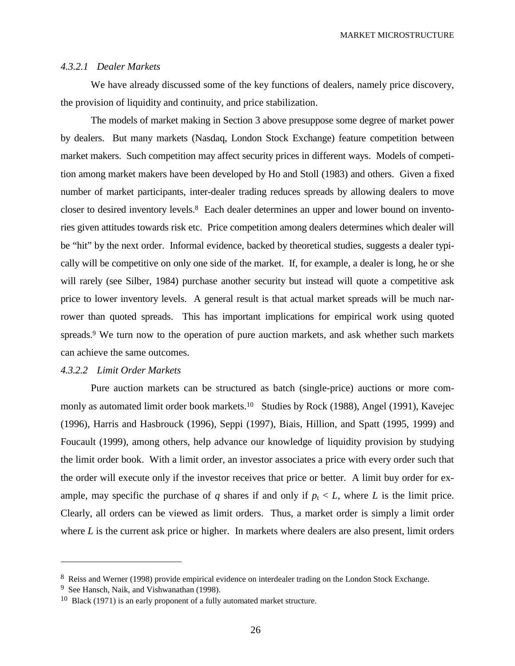### *4.3.2.1 Dealer Markets*

We have already discussed some of the key functions of dealers, namely price discovery, the provision of liquidity and continuity, and price stabilization.

The models of market making in Section 3 above presuppose some degree of market power by dealers. But many markets (Nasdaq, London Stock Exchange) feature competition between market makers. Such competition may affect security prices in different ways. Models of competition among market makers have been developed by Ho and Stoll (1983) and others. Given a fixed number of market participants, inter-dealer trading reduces spreads by allowing dealers to move closer to desired inventory levels.8 Each dealer determines an upper and lower bound on inventories given attitudes towards risk etc. Price competition among dealers determines which dealer will be "hit" by the next order. Informal evidence, backed by theoretical studies, suggests a dealer typically will be competitive on only one side of the market. If, for example, a dealer is long, he or she will rarely (see Silber, 1984) purchase another security but instead will quote a competitive ask price to lower inventory levels. A general result is that actual market spreads will be much narrower than quoted spreads. This has important implications for empirical work using quoted spreads.9 We turn now to the operation of pure auction markets, and ask whether such markets can achieve the same outcomes.

### *4.3.2.2 Limit Order Markets*

Pure auction markets can be structured as batch (single-price) auctions or more commonly as automated limit order book markets.<sup>10</sup> Studies by Rock (1988), Angel (1991), Kavejec (1996), Harris and Hasbrouck (1996), Seppi (1997), Biais, Hillion, and Spatt (1995, 1999) and Foucault (1999), among others, help advance our knowledge of liquidity provision by studying the limit order book. With a limit order, an investor associates a price with every order such that the order will execute only if the investor receives that price or better. A limit buy order for example, may specific the purchase of *q* shares if and only if  $p_t < L$ , where *L* is the limit price. Clearly, all orders can be viewed as limit orders. Thus, a market order is simply a limit order where *L* is the current ask price or higher. In markets where dealers are also present, limit orders

 $\overline{a}$ 

<sup>8</sup> Reiss and Werner (1998) provide empirical evidence on interdealer trading on the London Stock Exchange.

<sup>9</sup> See Hansch, Naik, and Vishwanathan (1998).

 $10$  Black (1971) is an early proponent of a fully automated market structure.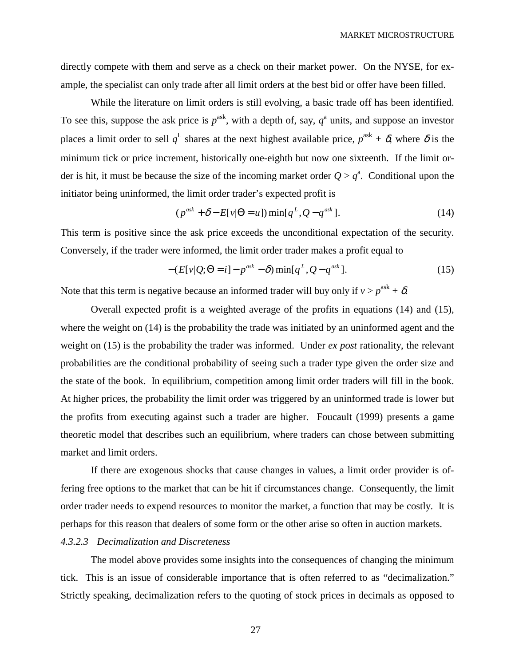directly compete with them and serve as a check on their market power. On the NYSE, for example, the specialist can only trade after all limit orders at the best bid or offer have been filled.

While the literature on limit orders is still evolving, a basic trade off has been identified. To see this, suppose the ask price is  $p^{\text{ask}}$ , with a depth of, say,  $q^{\text{a}}$  units, and suppose an investor places a limit order to sell  $q^L$  shares at the next highest available price,  $p^{ask} + \delta$ , where  $\delta$  is the minimum tick or price increment, historically one-eighth but now one sixteenth. If the limit order is hit, it must be because the size of the incoming market order  $Q > q^a$ . Conditional upon the initiator being uninformed, the limit order trader's expected profit is

$$
(p^{ask} + \delta - E[v|\Theta = u]) \min[q^L, Q - q^{ask}]. \tag{14}
$$

This term is positive since the ask price exceeds the unconditional expectation of the security. Conversely, if the trader were informed, the limit order trader makes a profit equal to

$$
-(E[v|Q;\Theta=i]-p^{ask}-\delta)\min[q^L,Q-q^{ask}].
$$
\n(15)

Note that this term is negative because an informed trader will buy only if  $v > p^{ask} + \delta$ .

Overall expected profit is a weighted average of the profits in equations (14) and (15), where the weight on (14) is the probability the trade was initiated by an uninformed agent and the weight on (15) is the probability the trader was informed. Under *ex post* rationality, the relevant probabilities are the conditional probability of seeing such a trader type given the order size and the state of the book. In equilibrium, competition among limit order traders will fill in the book. At higher prices, the probability the limit order was triggered by an uninformed trade is lower but the profits from executing against such a trader are higher. Foucault (1999) presents a game theoretic model that describes such an equilibrium, where traders can chose between submitting market and limit orders.

If there are exogenous shocks that cause changes in values, a limit order provider is offering free options to the market that can be hit if circumstances change. Consequently, the limit order trader needs to expend resources to monitor the market, a function that may be costly. It is perhaps for this reason that dealers of some form or the other arise so often in auction markets.

# *4.3.2.3 Decimalization and Discreteness*

The model above provides some insights into the consequences of changing the minimum tick. This is an issue of considerable importance that is often referred to as "decimalization." Strictly speaking, decimalization refers to the quoting of stock prices in decimals as opposed to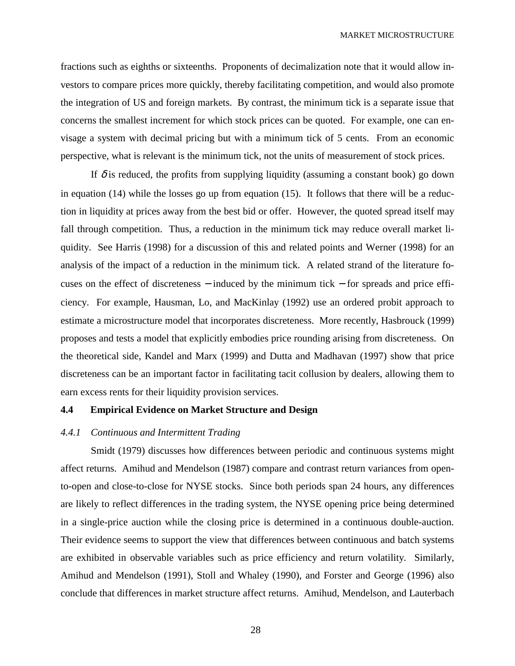fractions such as eighths or sixteenths. Proponents of decimalization note that it would allow investors to compare prices more quickly, thereby facilitating competition, and would also promote the integration of US and foreign markets. By contrast, the minimum tick is a separate issue that concerns the smallest increment for which stock prices can be quoted. For example, one can envisage a system with decimal pricing but with a minimum tick of 5 cents. From an economic perspective, what is relevant is the minimum tick, not the units of measurement of stock prices.

If  $\delta$  is reduced, the profits from supplying liquidity (assuming a constant book) go down in equation (14) while the losses go up from equation (15). It follows that there will be a reduction in liquidity at prices away from the best bid or offer. However, the quoted spread itself may fall through competition. Thus, a reduction in the minimum tick may reduce overall market liquidity. See Harris (1998) for a discussion of this and related points and Werner (1998) for an analysis of the impact of a reduction in the minimum tick. A related strand of the literature focuses on the effect of discreteness − induced by the minimum tick − for spreads and price efficiency. For example, Hausman, Lo, and MacKinlay (1992) use an ordered probit approach to estimate a microstructure model that incorporates discreteness. More recently, Hasbrouck (1999) proposes and tests a model that explicitly embodies price rounding arising from discreteness. On the theoretical side, Kandel and Marx (1999) and Dutta and Madhavan (1997) show that price discreteness can be an important factor in facilitating tacit collusion by dealers, allowing them to earn excess rents for their liquidity provision services.

### **4.4 Empirical Evidence on Market Structure and Design**

### *4.4.1 Continuous and Intermittent Trading*

Smidt (1979) discusses how differences between periodic and continuous systems might affect returns. Amihud and Mendelson (1987) compare and contrast return variances from opento-open and close-to-close for NYSE stocks. Since both periods span 24 hours, any differences are likely to reflect differences in the trading system, the NYSE opening price being determined in a single-price auction while the closing price is determined in a continuous double-auction. Their evidence seems to support the view that differences between continuous and batch systems are exhibited in observable variables such as price efficiency and return volatility. Similarly, Amihud and Mendelson (1991), Stoll and Whaley (1990), and Forster and George (1996) also conclude that differences in market structure affect returns. Amihud, Mendelson, and Lauterbach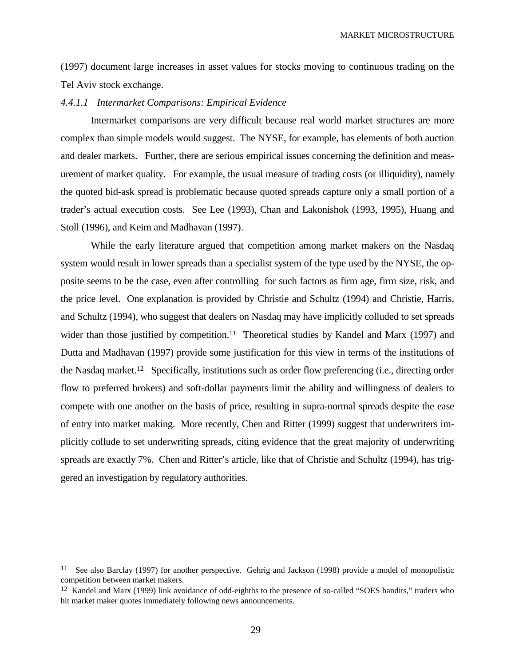(1997) document large increases in asset values for stocks moving to continuous trading on the Tel Aviv stock exchange.

#### *4.4.1.1 Intermarket Comparisons: Empirical Evidence*

Intermarket comparisons are very difficult because real world market structures are more complex than simple models would suggest. The NYSE, for example, has elements of both auction and dealer markets. Further, there are serious empirical issues concerning the definition and measurement of market quality. For example, the usual measure of trading costs (or illiquidity), namely the quoted bid-ask spread is problematic because quoted spreads capture only a small portion of a trader's actual execution costs. See Lee (1993), Chan and Lakonishok (1993, 1995), Huang and Stoll (1996), and Keim and Madhavan (1997).

While the early literature argued that competition among market makers on the Nasdaq system would result in lower spreads than a specialist system of the type used by the NYSE, the opposite seems to be the case, even after controlling for such factors as firm age, firm size, risk, and the price level. One explanation is provided by Christie and Schultz (1994) and Christie, Harris, and Schultz (1994), who suggest that dealers on Nasdaq may have implicitly colluded to set spreads wider than those justified by competition.<sup>11</sup> Theoretical studies by Kandel and Marx (1997) and Dutta and Madhavan (1997) provide some justification for this view in terms of the institutions of the Nasdaq market.12 Specifically, institutions such as order flow preferencing (i.e., directing order flow to preferred brokers) and soft-dollar payments limit the ability and willingness of dealers to compete with one another on the basis of price, resulting in supra-normal spreads despite the ease of entry into market making. More recently, Chen and Ritter (1999) suggest that underwriters implicitly collude to set underwriting spreads, citing evidence that the great majority of underwriting spreads are exactly 7%. Chen and Ritter's article, like that of Christie and Schultz (1994), has triggered an investigation by regulatory authorities.

 $\overline{a}$ 

<sup>&</sup>lt;sup>11</sup> See also Barclay (1997) for another perspective. Gehrig and Jackson (1998) provide a model of monopolistic competition between market makers.

<sup>&</sup>lt;sup>12</sup> Kandel and Marx (1999) link avoidance of odd-eighths to the presence of so-called "SOES bandits," traders who hit market maker quotes immediately following news announcements.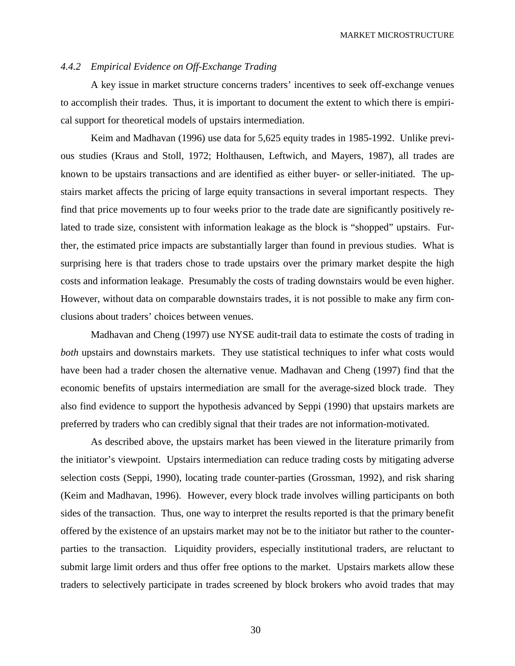#### *4.4.2 Empirical Evidence on Off-Exchange Trading*

A key issue in market structure concerns traders' incentives to seek off-exchange venues to accomplish their trades. Thus, it is important to document the extent to which there is empirical support for theoretical models of upstairs intermediation.

Keim and Madhavan (1996) use data for 5,625 equity trades in 1985-1992. Unlike previous studies (Kraus and Stoll, 1972; Holthausen, Leftwich, and Mayers, 1987), all trades are known to be upstairs transactions and are identified as either buyer- or seller-initiated. The upstairs market affects the pricing of large equity transactions in several important respects. They find that price movements up to four weeks prior to the trade date are significantly positively related to trade size, consistent with information leakage as the block is "shopped" upstairs. Further, the estimated price impacts are substantially larger than found in previous studies. What is surprising here is that traders chose to trade upstairs over the primary market despite the high costs and information leakage. Presumably the costs of trading downstairs would be even higher. However, without data on comparable downstairs trades, it is not possible to make any firm conclusions about traders' choices between venues.

Madhavan and Cheng (1997) use NYSE audit-trail data to estimate the costs of trading in *both* upstairs and downstairs markets. They use statistical techniques to infer what costs would have been had a trader chosen the alternative venue. Madhavan and Cheng (1997) find that the economic benefits of upstairs intermediation are small for the average-sized block trade. They also find evidence to support the hypothesis advanced by Seppi (1990) that upstairs markets are preferred by traders who can credibly signal that their trades are not information-motivated.

As described above, the upstairs market has been viewed in the literature primarily from the initiator's viewpoint. Upstairs intermediation can reduce trading costs by mitigating adverse selection costs (Seppi, 1990), locating trade counter-parties (Grossman, 1992), and risk sharing (Keim and Madhavan, 1996). However, every block trade involves willing participants on both sides of the transaction. Thus, one way to interpret the results reported is that the primary benefit offered by the existence of an upstairs market may not be to the initiator but rather to the counterparties to the transaction. Liquidity providers, especially institutional traders, are reluctant to submit large limit orders and thus offer free options to the market. Upstairs markets allow these traders to selectively participate in trades screened by block brokers who avoid trades that may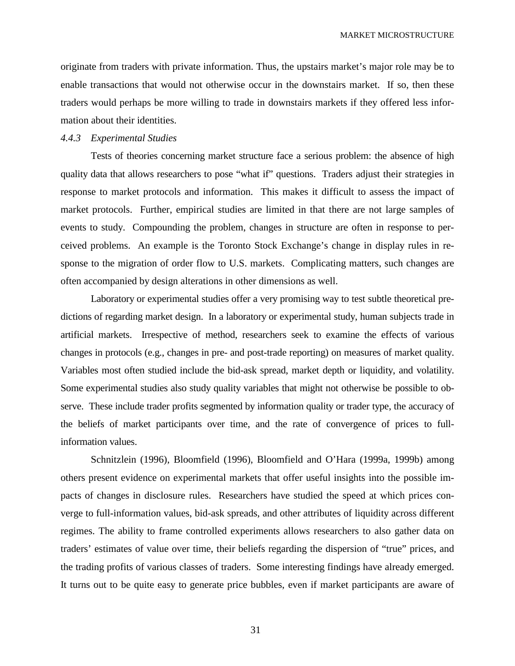originate from traders with private information. Thus, the upstairs market's major role may be to enable transactions that would not otherwise occur in the downstairs market. If so, then these traders would perhaps be more willing to trade in downstairs markets if they offered less information about their identities.

### *4.4.3 Experimental Studies*

Tests of theories concerning market structure face a serious problem: the absence of high quality data that allows researchers to pose "what if" questions. Traders adjust their strategies in response to market protocols and information. This makes it difficult to assess the impact of market protocols. Further, empirical studies are limited in that there are not large samples of events to study. Compounding the problem, changes in structure are often in response to perceived problems. An example is the Toronto Stock Exchange's change in display rules in response to the migration of order flow to U.S. markets. Complicating matters, such changes are often accompanied by design alterations in other dimensions as well.

Laboratory or experimental studies offer a very promising way to test subtle theoretical predictions of regarding market design. In a laboratory or experimental study, human subjects trade in artificial markets. Irrespective of method, researchers seek to examine the effects of various changes in protocols (e.g., changes in pre- and post-trade reporting) on measures of market quality. Variables most often studied include the bid-ask spread, market depth or liquidity, and volatility. Some experimental studies also study quality variables that might not otherwise be possible to observe. These include trader profits segmented by information quality or trader type, the accuracy of the beliefs of market participants over time, and the rate of convergence of prices to fullinformation values.

Schnitzlein (1996), Bloomfield (1996), Bloomfield and O'Hara (1999a, 1999b) among others present evidence on experimental markets that offer useful insights into the possible impacts of changes in disclosure rules. Researchers have studied the speed at which prices converge to full-information values, bid-ask spreads, and other attributes of liquidity across different regimes. The ability to frame controlled experiments allows researchers to also gather data on traders' estimates of value over time, their beliefs regarding the dispersion of "true" prices, and the trading profits of various classes of traders. Some interesting findings have already emerged. It turns out to be quite easy to generate price bubbles, even if market participants are aware of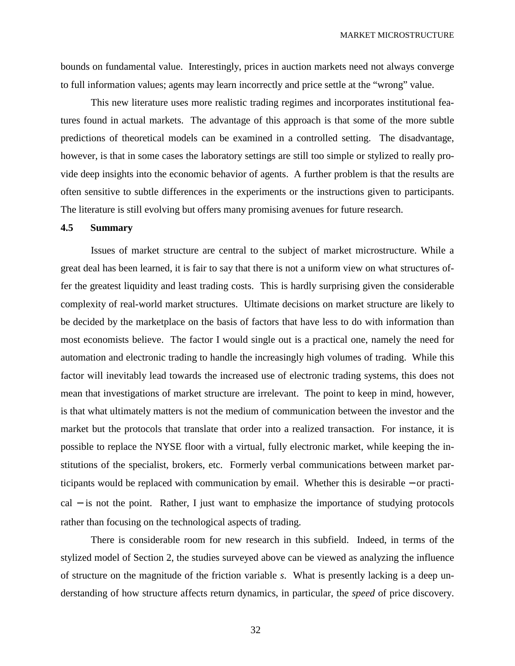MARKET MICROSTRUCTURE

bounds on fundamental value. Interestingly, prices in auction markets need not always converge to full information values; agents may learn incorrectly and price settle at the "wrong" value.

This new literature uses more realistic trading regimes and incorporates institutional features found in actual markets. The advantage of this approach is that some of the more subtle predictions of theoretical models can be examined in a controlled setting. The disadvantage, however, is that in some cases the laboratory settings are still too simple or stylized to really provide deep insights into the economic behavior of agents. A further problem is that the results are often sensitive to subtle differences in the experiments or the instructions given to participants. The literature is still evolving but offers many promising avenues for future research.

# **4.5 Summary**

Issues of market structure are central to the subject of market microstructure. While a great deal has been learned, it is fair to say that there is not a uniform view on what structures offer the greatest liquidity and least trading costs. This is hardly surprising given the considerable complexity of real-world market structures. Ultimate decisions on market structure are likely to be decided by the marketplace on the basis of factors that have less to do with information than most economists believe. The factor I would single out is a practical one, namely the need for automation and electronic trading to handle the increasingly high volumes of trading. While this factor will inevitably lead towards the increased use of electronic trading systems, this does not mean that investigations of market structure are irrelevant. The point to keep in mind, however, is that what ultimately matters is not the medium of communication between the investor and the market but the protocols that translate that order into a realized transaction. For instance, it is possible to replace the NYSE floor with a virtual, fully electronic market, while keeping the institutions of the specialist, brokers, etc. Formerly verbal communications between market participants would be replaced with communication by email. Whether this is desirable − or practical − is not the point. Rather, I just want to emphasize the importance of studying protocols rather than focusing on the technological aspects of trading.

There is considerable room for new research in this subfield. Indeed, in terms of the stylized model of Section 2, the studies surveyed above can be viewed as analyzing the influence of structure on the magnitude of the friction variable *s*. What is presently lacking is a deep understanding of how structure affects return dynamics, in particular, the *speed* of price discovery.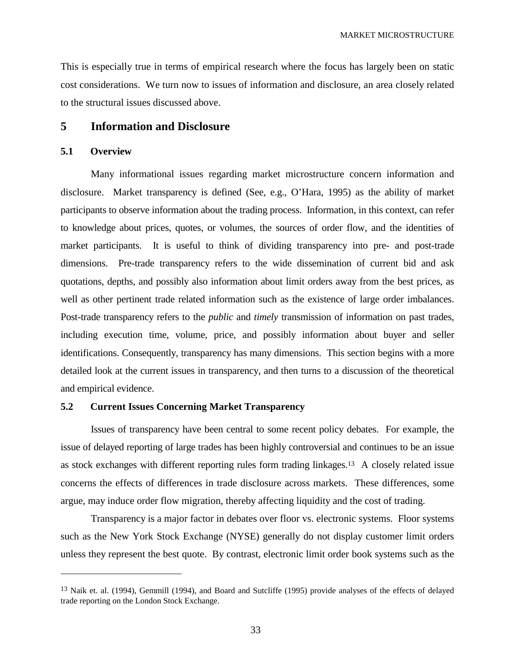This is especially true in terms of empirical research where the focus has largely been on static cost considerations. We turn now to issues of information and disclosure, an area closely related to the structural issues discussed above.

# **5 Information and Disclosure**

# **5.1 Overview**

 $\overline{a}$ 

Many informational issues regarding market microstructure concern information and disclosure. Market transparency is defined (See, e.g., O'Hara, 1995) as the ability of market participants to observe information about the trading process. Information, in this context, can refer to knowledge about prices, quotes, or volumes, the sources of order flow, and the identities of market participants. It is useful to think of dividing transparency into pre- and post-trade dimensions. Pre-trade transparency refers to the wide dissemination of current bid and ask quotations, depths, and possibly also information about limit orders away from the best prices, as well as other pertinent trade related information such as the existence of large order imbalances. Post-trade transparency refers to the *public* and *timely* transmission of information on past trades, including execution time, volume, price, and possibly information about buyer and seller identifications. Consequently, transparency has many dimensions. This section begins with a more detailed look at the current issues in transparency, and then turns to a discussion of the theoretical and empirical evidence.

### **5.2 Current Issues Concerning Market Transparency**

Issues of transparency have been central to some recent policy debates. For example, the issue of delayed reporting of large trades has been highly controversial and continues to be an issue as stock exchanges with different reporting rules form trading linkages.13 A closely related issue concerns the effects of differences in trade disclosure across markets. These differences, some argue, may induce order flow migration, thereby affecting liquidity and the cost of trading.

Transparency is a major factor in debates over floor vs. electronic systems. Floor systems such as the New York Stock Exchange (NYSE) generally do not display customer limit orders unless they represent the best quote. By contrast, electronic limit order book systems such as the

<sup>13</sup> Naik et. al. (1994), Gemmill (1994), and Board and Sutcliffe (1995) provide analyses of the effects of delayed trade reporting on the London Stock Exchange.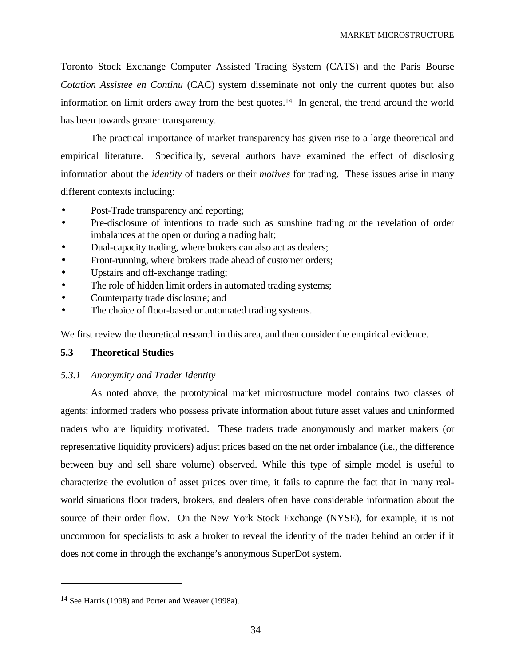Toronto Stock Exchange Computer Assisted Trading System (CATS) and the Paris Bourse *Cotation Assistee en Continu* (CAC) system disseminate not only the current quotes but also information on limit orders away from the best quotes.14 In general, the trend around the world has been towards greater transparency.

The practical importance of market transparency has given rise to a large theoretical and empirical literature. Specifically, several authors have examined the effect of disclosing information about the *identity* of traders or their *motives* for trading. These issues arise in many different contexts including:

- Post-Trade transparency and reporting;
- Pre-disclosure of intentions to trade such as sunshine trading or the revelation of order imbalances at the open or during a trading halt;
- Dual-capacity trading, where brokers can also act as dealers;
- Front-running, where brokers trade ahead of customer orders;
- Upstairs and off-exchange trading;
- The role of hidden limit orders in automated trading systems;
- Counterparty trade disclosure; and
- The choice of floor-based or automated trading systems.

We first review the theoretical research in this area, and then consider the empirical evidence.

# **5.3 Theoretical Studies**

### *5.3.1 Anonymity and Trader Identity*

As noted above, the prototypical market microstructure model contains two classes of agents: informed traders who possess private information about future asset values and uninformed traders who are liquidity motivated. These traders trade anonymously and market makers (or representative liquidity providers) adjust prices based on the net order imbalance (i.e., the difference between buy and sell share volume) observed. While this type of simple model is useful to characterize the evolution of asset prices over time, it fails to capture the fact that in many realworld situations floor traders, brokers, and dealers often have considerable information about the source of their order flow. On the New York Stock Exchange (NYSE), for example, it is not uncommon for specialists to ask a broker to reveal the identity of the trader behind an order if it does not come in through the exchange's anonymous SuperDot system.

 $\overline{a}$ 

<sup>14</sup> See Harris (1998) and Porter and Weaver (1998a).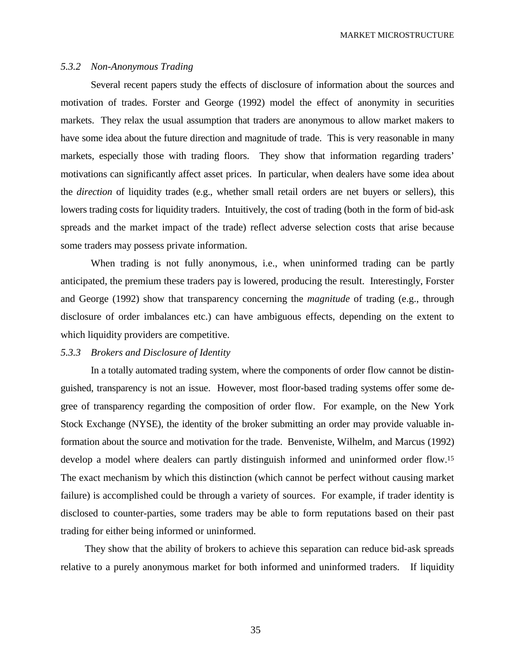### *5.3.2 Non-Anonymous Trading*

Several recent papers study the effects of disclosure of information about the sources and motivation of trades. Forster and George (1992) model the effect of anonymity in securities markets. They relax the usual assumption that traders are anonymous to allow market makers to have some idea about the future direction and magnitude of trade. This is very reasonable in many markets, especially those with trading floors. They show that information regarding traders' motivations can significantly affect asset prices. In particular, when dealers have some idea about the *direction* of liquidity trades (e.g., whether small retail orders are net buyers or sellers), this lowers trading costs for liquidity traders. Intuitively, the cost of trading (both in the form of bid-ask spreads and the market impact of the trade) reflect adverse selection costs that arise because some traders may possess private information.

When trading is not fully anonymous, i.e., when uninformed trading can be partly anticipated, the premium these traders pay is lowered, producing the result. Interestingly, Forster and George (1992) show that transparency concerning the *magnitude* of trading (e.g., through disclosure of order imbalances etc.) can have ambiguous effects, depending on the extent to which liquidity providers are competitive.

### *5.3.3 Brokers and Disclosure of Identity*

In a totally automated trading system, where the components of order flow cannot be distinguished, transparency is not an issue. However, most floor-based trading systems offer some degree of transparency regarding the composition of order flow. For example, on the New York Stock Exchange (NYSE), the identity of the broker submitting an order may provide valuable information about the source and motivation for the trade. Benveniste, Wilhelm, and Marcus (1992) develop a model where dealers can partly distinguish informed and uninformed order flow.15 The exact mechanism by which this distinction (which cannot be perfect without causing market failure) is accomplished could be through a variety of sources. For example, if trader identity is disclosed to counter-parties, some traders may be able to form reputations based on their past trading for either being informed or uninformed.

They show that the ability of brokers to achieve this separation can reduce bid-ask spreads relative to a purely anonymous market for both informed and uninformed traders. If liquidity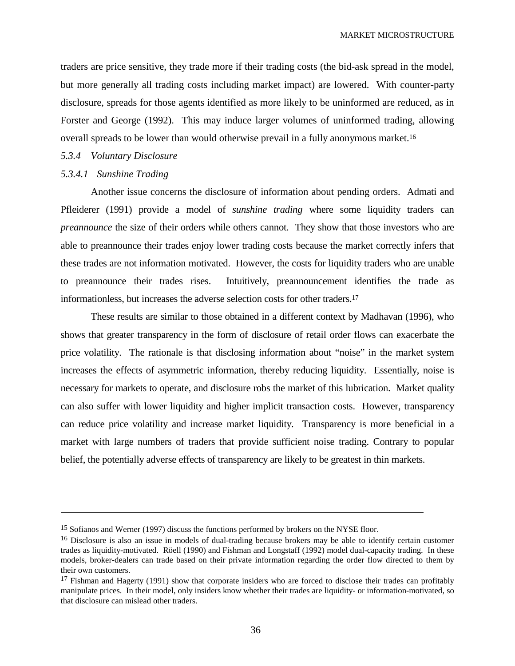traders are price sensitive, they trade more if their trading costs (the bid-ask spread in the model, but more generally all trading costs including market impact) are lowered. With counter-party disclosure, spreads for those agents identified as more likely to be uninformed are reduced, as in Forster and George (1992). This may induce larger volumes of uninformed trading, allowing overall spreads to be lower than would otherwise prevail in a fully anonymous market.16

# *5.3.4 Voluntary Disclosure*

### *5.3.4.1 Sunshine Trading*

 $\overline{a}$ 

Another issue concerns the disclosure of information about pending orders. Admati and Pfleiderer (1991) provide a model of *sunshine trading* where some liquidity traders can *preannounce* the size of their orders while others cannot. They show that those investors who are able to preannounce their trades enjoy lower trading costs because the market correctly infers that these trades are not information motivated. However, the costs for liquidity traders who are unable to preannounce their trades rises. Intuitively, preannouncement identifies the trade as informationless, but increases the adverse selection costs for other traders.17

These results are similar to those obtained in a different context by Madhavan (1996), who shows that greater transparency in the form of disclosure of retail order flows can exacerbate the price volatility. The rationale is that disclosing information about "noise" in the market system increases the effects of asymmetric information, thereby reducing liquidity. Essentially, noise is necessary for markets to operate, and disclosure robs the market of this lubrication. Market quality can also suffer with lower liquidity and higher implicit transaction costs. However, transparency can reduce price volatility and increase market liquidity. Transparency is more beneficial in a market with large numbers of traders that provide sufficient noise trading. Contrary to popular belief, the potentially adverse effects of transparency are likely to be greatest in thin markets.

<sup>15</sup> Sofianos and Werner (1997) discuss the functions performed by brokers on the NYSE floor.

<sup>&</sup>lt;sup>16</sup> Disclosure is also an issue in models of dual-trading because brokers may be able to identify certain customer trades as liquidity-motivated. Röell (1990) and Fishman and Longstaff (1992) model dual-capacity trading. In these models, broker-dealers can trade based on their private information regarding the order flow directed to them by their own customers.

 $17$  Fishman and Hagerty (1991) show that corporate insiders who are forced to disclose their trades can profitably manipulate prices. In their model, only insiders know whether their trades are liquidity- or information-motivated, so that disclosure can mislead other traders.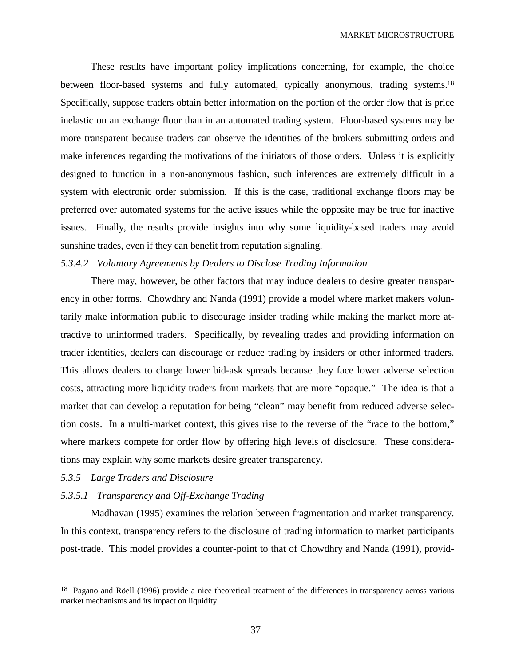These results have important policy implications concerning, for example, the choice between floor-based systems and fully automated, typically anonymous, trading systems.18 Specifically, suppose traders obtain better information on the portion of the order flow that is price inelastic on an exchange floor than in an automated trading system. Floor-based systems may be more transparent because traders can observe the identities of the brokers submitting orders and make inferences regarding the motivations of the initiators of those orders. Unless it is explicitly designed to function in a non-anonymous fashion, such inferences are extremely difficult in a system with electronic order submission. If this is the case, traditional exchange floors may be preferred over automated systems for the active issues while the opposite may be true for inactive issues. Finally, the results provide insights into why some liquidity-based traders may avoid sunshine trades, even if they can benefit from reputation signaling.

### *5.3.4.2 Voluntary Agreements by Dealers to Disclose Trading Information*

There may, however, be other factors that may induce dealers to desire greater transparency in other forms. Chowdhry and Nanda (1991) provide a model where market makers voluntarily make information public to discourage insider trading while making the market more attractive to uninformed traders. Specifically, by revealing trades and providing information on trader identities, dealers can discourage or reduce trading by insiders or other informed traders. This allows dealers to charge lower bid-ask spreads because they face lower adverse selection costs, attracting more liquidity traders from markets that are more "opaque." The idea is that a market that can develop a reputation for being "clean" may benefit from reduced adverse selection costs. In a multi-market context, this gives rise to the reverse of the "race to the bottom," where markets compete for order flow by offering high levels of disclosure. These considerations may explain why some markets desire greater transparency.

# *5.3.5 Large Traders and Disclosure*

 $\overline{a}$ 

#### *5.3.5.1 Transparency and Off-Exchange Trading*

Madhavan (1995) examines the relation between fragmentation and market transparency. In this context, transparency refers to the disclosure of trading information to market participants post-trade. This model provides a counter-point to that of Chowdhry and Nanda (1991), provid-

<sup>&</sup>lt;sup>18</sup> Pagano and Röell (1996) provide a nice theoretical treatment of the differences in transparency across various market mechanisms and its impact on liquidity.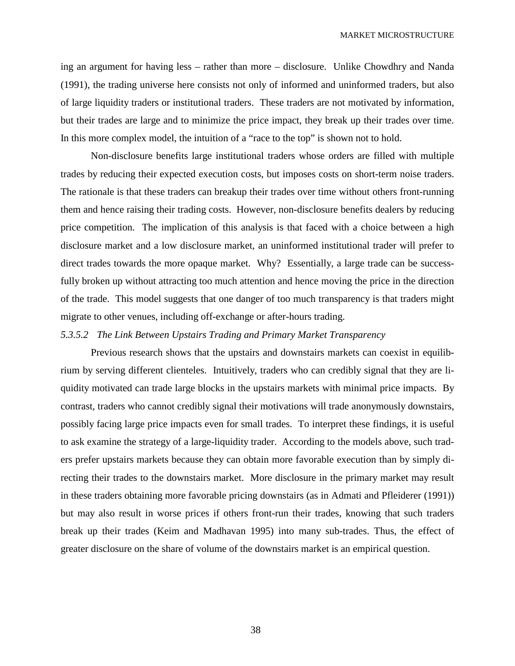ing an argument for having less – rather than more – disclosure. Unlike Chowdhry and Nanda (1991), the trading universe here consists not only of informed and uninformed traders, but also of large liquidity traders or institutional traders. These traders are not motivated by information, but their trades are large and to minimize the price impact, they break up their trades over time. In this more complex model, the intuition of a "race to the top" is shown not to hold.

Non-disclosure benefits large institutional traders whose orders are filled with multiple trades by reducing their expected execution costs, but imposes costs on short-term noise traders. The rationale is that these traders can breakup their trades over time without others front-running them and hence raising their trading costs. However, non-disclosure benefits dealers by reducing price competition. The implication of this analysis is that faced with a choice between a high disclosure market and a low disclosure market, an uninformed institutional trader will prefer to direct trades towards the more opaque market. Why? Essentially, a large trade can be successfully broken up without attracting too much attention and hence moving the price in the direction of the trade. This model suggests that one danger of too much transparency is that traders might migrate to other venues, including off-exchange or after-hours trading.

# *5.3.5.2 The Link Between Upstairs Trading and Primary Market Transparency*

Previous research shows that the upstairs and downstairs markets can coexist in equilibrium by serving different clienteles. Intuitively, traders who can credibly signal that they are liquidity motivated can trade large blocks in the upstairs markets with minimal price impacts. By contrast, traders who cannot credibly signal their motivations will trade anonymously downstairs, possibly facing large price impacts even for small trades. To interpret these findings, it is useful to ask examine the strategy of a large-liquidity trader. According to the models above, such traders prefer upstairs markets because they can obtain more favorable execution than by simply directing their trades to the downstairs market. More disclosure in the primary market may result in these traders obtaining more favorable pricing downstairs (as in Admati and Pfleiderer (1991)) but may also result in worse prices if others front-run their trades, knowing that such traders break up their trades (Keim and Madhavan 1995) into many sub-trades. Thus, the effect of greater disclosure on the share of volume of the downstairs market is an empirical question.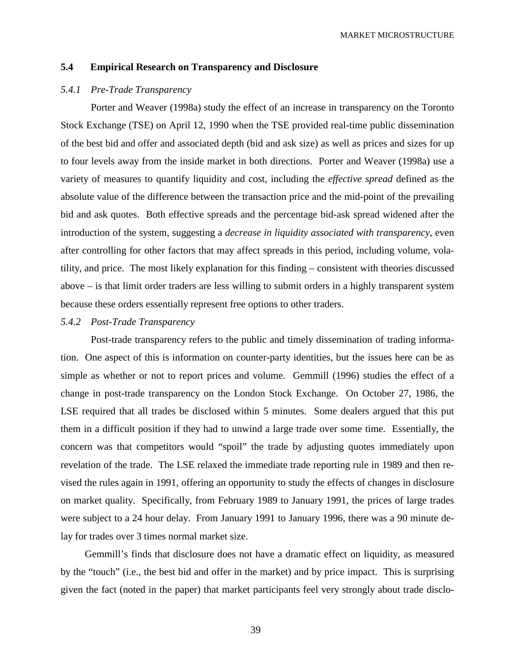# **5.4 Empirical Research on Transparency and Disclosure**

### *5.4.1 Pre-Trade Transparency*

Porter and Weaver (1998a) study the effect of an increase in transparency on the Toronto Stock Exchange (TSE) on April 12, 1990 when the TSE provided real-time public dissemination of the best bid and offer and associated depth (bid and ask size) as well as prices and sizes for up to four levels away from the inside market in both directions. Porter and Weaver (1998a) use a variety of measures to quantify liquidity and cost, including the *effective spread* defined as the absolute value of the difference between the transaction price and the mid-point of the prevailing bid and ask quotes. Both effective spreads and the percentage bid-ask spread widened after the introduction of the system, suggesting a *decrease in liquidity associated with transparency*, even after controlling for other factors that may affect spreads in this period, including volume, volatility, and price. The most likely explanation for this finding – consistent with theories discussed above – is that limit order traders are less willing to submit orders in a highly transparent system because these orders essentially represent free options to other traders.

### *5.4.2 Post-Trade Transparency*

Post-trade transparency refers to the public and timely dissemination of trading information. One aspect of this is information on counter-party identities, but the issues here can be as simple as whether or not to report prices and volume. Gemmill (1996) studies the effect of a change in post-trade transparency on the London Stock Exchange. On October 27, 1986, the LSE required that all trades be disclosed within 5 minutes. Some dealers argued that this put them in a difficult position if they had to unwind a large trade over some time. Essentially, the concern was that competitors would "spoil" the trade by adjusting quotes immediately upon revelation of the trade. The LSE relaxed the immediate trade reporting rule in 1989 and then revised the rules again in 1991, offering an opportunity to study the effects of changes in disclosure on market quality. Specifically, from February 1989 to January 1991, the prices of large trades were subject to a 24 hour delay. From January 1991 to January 1996, there was a 90 minute delay for trades over 3 times normal market size.

Gemmill's finds that disclosure does not have a dramatic effect on liquidity, as measured by the "touch" (i.e., the best bid and offer in the market) and by price impact. This is surprising given the fact (noted in the paper) that market participants feel very strongly about trade disclo-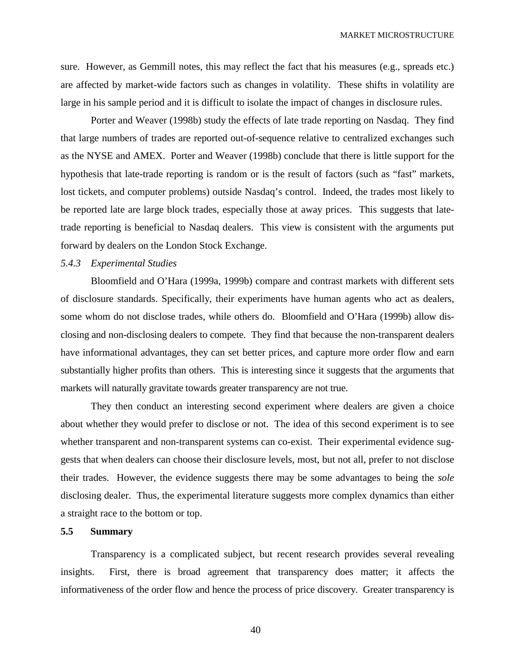sure. However, as Gemmill notes, this may reflect the fact that his measures (e.g., spreads etc.) are affected by market-wide factors such as changes in volatility. These shifts in volatility are large in his sample period and it is difficult to isolate the impact of changes in disclosure rules.

Porter and Weaver (1998b) study the effects of late trade reporting on Nasdaq. They find that large numbers of trades are reported out-of-sequence relative to centralized exchanges such as the NYSE and AMEX. Porter and Weaver (1998b) conclude that there is little support for the hypothesis that late-trade reporting is random or is the result of factors (such as "fast" markets, lost tickets, and computer problems) outside Nasdaq's control. Indeed, the trades most likely to be reported late are large block trades, especially those at away prices. This suggests that latetrade reporting is beneficial to Nasdaq dealers. This view is consistent with the arguments put forward by dealers on the London Stock Exchange.

### *5.4.3 Experimental Studies*

Bloomfield and O'Hara (1999a, 1999b) compare and contrast markets with different sets of disclosure standards. Specifically, their experiments have human agents who act as dealers, some whom do not disclose trades, while others do. Bloomfield and O'Hara (1999b) allow disclosing and non-disclosing dealers to compete. They find that because the non-transparent dealers have informational advantages, they can set better prices, and capture more order flow and earn substantially higher profits than others. This is interesting since it suggests that the arguments that markets will naturally gravitate towards greater transparency are not true.

They then conduct an interesting second experiment where dealers are given a choice about whether they would prefer to disclose or not. The idea of this second experiment is to see whether transparent and non-transparent systems can co-exist. Their experimental evidence suggests that when dealers can choose their disclosure levels, most, but not all, prefer to not disclose their trades. However, the evidence suggests there may be some advantages to being the *sole* disclosing dealer. Thus, the experimental literature suggests more complex dynamics than either a straight race to the bottom or top.

#### **5.5 Summary**

Transparency is a complicated subject, but recent research provides several revealing insights. First, there is broad agreement that transparency does matter; it affects the informativeness of the order flow and hence the process of price discovery. Greater transparency is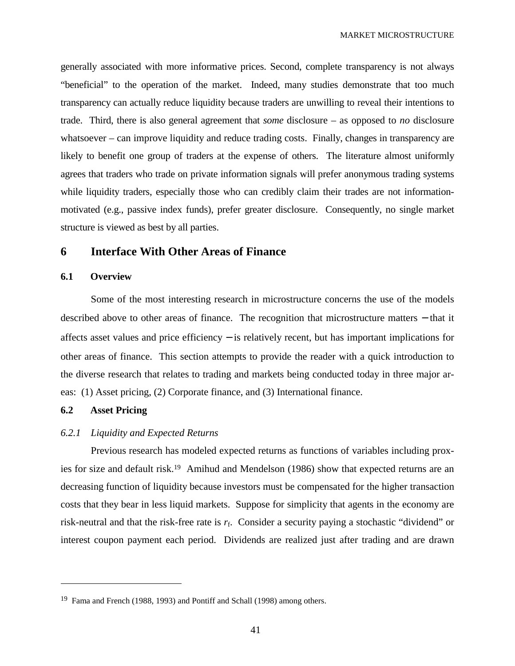generally associated with more informative prices. Second, complete transparency is not always "beneficial" to the operation of the market. Indeed, many studies demonstrate that too much transparency can actually reduce liquidity because traders are unwilling to reveal their intentions to trade. Third, there is also general agreement that *some* disclosure – as opposed to *no* disclosure whatsoever – can improve liquidity and reduce trading costs. Finally, changes in transparency are likely to benefit one group of traders at the expense of others. The literature almost uniformly agrees that traders who trade on private information signals will prefer anonymous trading systems while liquidity traders, especially those who can credibly claim their trades are not informationmotivated (e.g., passive index funds), prefer greater disclosure. Consequently, no single market structure is viewed as best by all parties.

# **6 Interface With Other Areas of Finance**

#### **6.1 Overview**

Some of the most interesting research in microstructure concerns the use of the models described above to other areas of finance. The recognition that microstructure matters − that it affects asset values and price efficiency − is relatively recent, but has important implications for other areas of finance. This section attempts to provide the reader with a quick introduction to the diverse research that relates to trading and markets being conducted today in three major areas: (1) Asset pricing, (2) Corporate finance, and (3) International finance.

#### **6.2 Asset Pricing**

 $\overline{a}$ 

### *6.2.1 Liquidity and Expected Returns*

Previous research has modeled expected returns as functions of variables including proxies for size and default risk.19 Amihud and Mendelson (1986) show that expected returns are an decreasing function of liquidity because investors must be compensated for the higher transaction costs that they bear in less liquid markets. Suppose for simplicity that agents in the economy are risk-neutral and that the risk-free rate is  $r_f$ . Consider a security paying a stochastic "dividend" or interest coupon payment each period. Dividends are realized just after trading and are drawn

<sup>19</sup> Fama and French (1988, 1993) and Pontiff and Schall (1998) among others.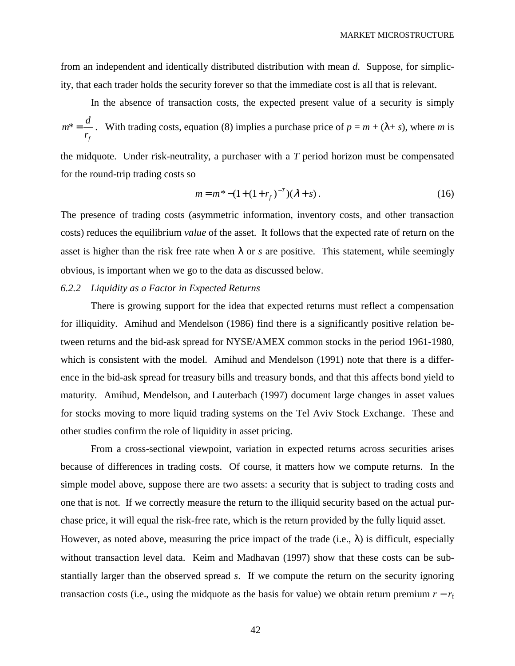from an independent and identically distributed distribution with mean *d*. Suppose, for simplicity, that each trader holds the security forever so that the immediate cost is all that is relevant.

In the absence of transaction costs, the expected present value of a security is simply 
$$
m^* = \frac{d}{r_f}
$$
. With trading costs, equation (8) implies a purchase price of  $p = m + (\lambda + s)$ , where *m* is

the midquote. Under risk-neutrality, a purchaser with a *T* period horizon must be compensated for the round-trip trading costs so

$$
m = m^* - (1 + (1 + r_f)^{-T})(\lambda + s).
$$
 (16)

The presence of trading costs (asymmetric information, inventory costs, and other transaction costs) reduces the equilibrium *value* of the asset. It follows that the expected rate of return on the asset is higher than the risk free rate when  $\lambda$  or *s* are positive. This statement, while seemingly obvious, is important when we go to the data as discussed below.

### *6.2.2 Liquidity as a Factor in Expected Returns*

There is growing support for the idea that expected returns must reflect a compensation for illiquidity. Amihud and Mendelson (1986) find there is a significantly positive relation between returns and the bid-ask spread for NYSE/AMEX common stocks in the period 1961-1980, which is consistent with the model. Amihud and Mendelson (1991) note that there is a difference in the bid-ask spread for treasury bills and treasury bonds, and that this affects bond yield to maturity. Amihud, Mendelson, and Lauterbach (1997) document large changes in asset values for stocks moving to more liquid trading systems on the Tel Aviv Stock Exchange. These and other studies confirm the role of liquidity in asset pricing.

From a cross-sectional viewpoint, variation in expected returns across securities arises because of differences in trading costs. Of course, it matters how we compute returns. In the simple model above, suppose there are two assets: a security that is subject to trading costs and one that is not. If we correctly measure the return to the illiquid security based on the actual purchase price, it will equal the risk-free rate, which is the return provided by the fully liquid asset. However, as noted above, measuring the price impact of the trade (i.e.,  $\lambda$ ) is difficult, especially without transaction level data. Keim and Madhavan (1997) show that these costs can be substantially larger than the observed spread *s*. If we compute the return on the security ignoring transaction costs (i.e., using the midquote as the basis for value) we obtain return premium  $r - r_f$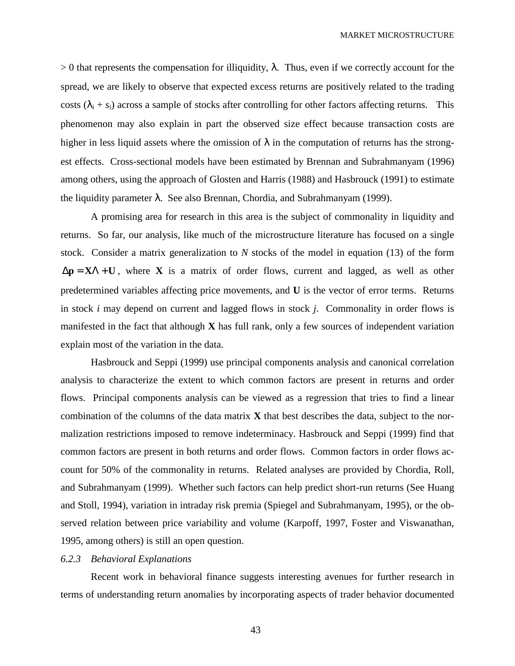$> 0$  that represents the compensation for illiquidity,  $\lambda$ . Thus, even if we correctly account for the spread, we are likely to observe that expected excess returns are positively related to the trading costs  $(\lambda_i + s_i)$  across a sample of stocks after controlling for other factors affecting returns. This phenomenon may also explain in part the observed size effect because transaction costs are higher in less liquid assets where the omission of  $\lambda$  in the computation of returns has the strongest effects. Cross-sectional models have been estimated by Brennan and Subrahmanyam (1996) among others, using the approach of Glosten and Harris (1988) and Hasbrouck (1991) to estimate the liquidity parameter λ. See also Brennan, Chordia, and Subrahmanyam (1999).

A promising area for research in this area is the subject of commonality in liquidity and returns. So far, our analysis, like much of the microstructure literature has focused on a single stock. Consider a matrix generalization to *N* stocks of the model in equation (13) of the form  $\Delta p = X \Lambda + U$ , where X is a matrix of order flows, current and lagged, as well as other predetermined variables affecting price movements, and **U** is the vector of error terms. Returns in stock *i* may depend on current and lagged flows in stock *j*. Commonality in order flows is manifested in the fact that although **X** has full rank, only a few sources of independent variation explain most of the variation in the data.

Hasbrouck and Seppi (1999) use principal components analysis and canonical correlation analysis to characterize the extent to which common factors are present in returns and order flows. Principal components analysis can be viewed as a regression that tries to find a linear combination of the columns of the data matrix **X** that best describes the data, subject to the normalization restrictions imposed to remove indeterminacy. Hasbrouck and Seppi (1999) find that common factors are present in both returns and order flows. Common factors in order flows account for 50% of the commonality in returns. Related analyses are provided by Chordia, Roll, and Subrahmanyam (1999). Whether such factors can help predict short-run returns (See Huang and Stoll, 1994), variation in intraday risk premia (Spiegel and Subrahmanyam, 1995), or the observed relation between price variability and volume (Karpoff, 1997, Foster and Viswanathan, 1995, among others) is still an open question.

#### *6.2.3 Behavioral Explanations*

Recent work in behavioral finance suggests interesting avenues for further research in terms of understanding return anomalies by incorporating aspects of trader behavior documented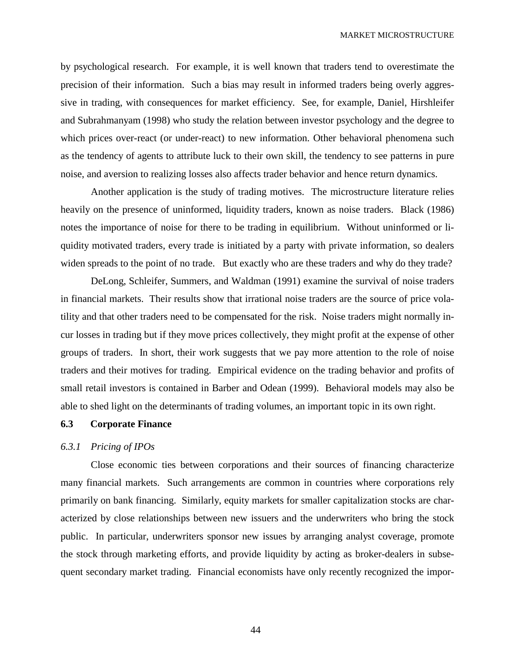by psychological research. For example, it is well known that traders tend to overestimate the precision of their information. Such a bias may result in informed traders being overly aggressive in trading, with consequences for market efficiency. See, for example, Daniel, Hirshleifer and Subrahmanyam (1998) who study the relation between investor psychology and the degree to which prices over-react (or under-react) to new information. Other behavioral phenomena such as the tendency of agents to attribute luck to their own skill, the tendency to see patterns in pure noise, and aversion to realizing losses also affects trader behavior and hence return dynamics.

Another application is the study of trading motives. The microstructure literature relies heavily on the presence of uninformed, liquidity traders, known as noise traders. Black (1986) notes the importance of noise for there to be trading in equilibrium. Without uninformed or liquidity motivated traders, every trade is initiated by a party with private information, so dealers widen spreads to the point of no trade. But exactly who are these traders and why do they trade?

DeLong, Schleifer, Summers, and Waldman (1991) examine the survival of noise traders in financial markets. Their results show that irrational noise traders are the source of price volatility and that other traders need to be compensated for the risk. Noise traders might normally incur losses in trading but if they move prices collectively, they might profit at the expense of other groups of traders. In short, their work suggests that we pay more attention to the role of noise traders and their motives for trading. Empirical evidence on the trading behavior and profits of small retail investors is contained in Barber and Odean (1999). Behavioral models may also be able to shed light on the determinants of trading volumes, an important topic in its own right.

#### **6.3 Corporate Finance**

#### *6.3.1 Pricing of IPOs*

Close economic ties between corporations and their sources of financing characterize many financial markets. Such arrangements are common in countries where corporations rely primarily on bank financing. Similarly, equity markets for smaller capitalization stocks are characterized by close relationships between new issuers and the underwriters who bring the stock public. In particular, underwriters sponsor new issues by arranging analyst coverage, promote the stock through marketing efforts, and provide liquidity by acting as broker-dealers in subsequent secondary market trading. Financial economists have only recently recognized the impor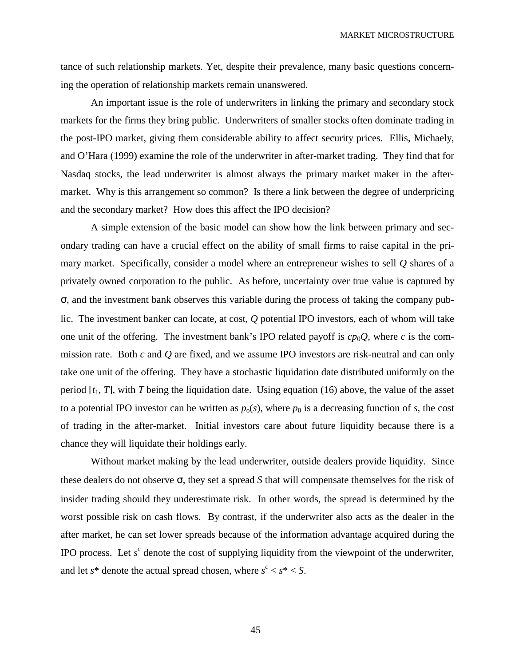tance of such relationship markets. Yet, despite their prevalence, many basic questions concerning the operation of relationship markets remain unanswered.

An important issue is the role of underwriters in linking the primary and secondary stock markets for the firms they bring public. Underwriters of smaller stocks often dominate trading in the post-IPO market, giving them considerable ability to affect security prices. Ellis, Michaely, and O'Hara (1999) examine the role of the underwriter in after-market trading. They find that for Nasdaq stocks, the lead underwriter is almost always the primary market maker in the aftermarket. Why is this arrangement so common? Is there a link between the degree of underpricing and the secondary market? How does this affect the IPO decision?

A simple extension of the basic model can show how the link between primary and secondary trading can have a crucial effect on the ability of small firms to raise capital in the primary market. Specifically, consider a model where an entrepreneur wishes to sell *Q* shares of a privately owned corporation to the public. As before, uncertainty over true value is captured by σ, and the investment bank observes this variable during the process of taking the company public. The investment banker can locate, at cost, *Q* potential IPO investors, each of whom will take one unit of the offering. The investment bank's IPO related payoff is  $cp<sub>0</sub>Q$ , where *c* is the commission rate. Both *c* and *Q* are fixed, and we assume IPO investors are risk-neutral and can only take one unit of the offering. They have a stochastic liquidation date distributed uniformly on the period  $[t_1, T]$ , with *T* being the liquidation date. Using equation (16) above, the value of the asset to a potential IPO investor can be written as  $p_0(s)$ , where  $p_0$  is a decreasing function of *s*, the cost of trading in the after-market. Initial investors care about future liquidity because there is a chance they will liquidate their holdings early.

Without market making by the lead underwriter, outside dealers provide liquidity. Since these dealers do not observe  $\sigma$ , they set a spread *S* that will compensate themselves for the risk of insider trading should they underestimate risk. In other words, the spread is determined by the worst possible risk on cash flows. By contrast, if the underwriter also acts as the dealer in the after market, he can set lower spreads because of the information advantage acquired during the IPO process. Let  $s^c$  denote the cost of supplying liquidity from the viewpoint of the underwriter, and let  $s^*$  denote the actual spread chosen, where  $s^c < s^* < S$ .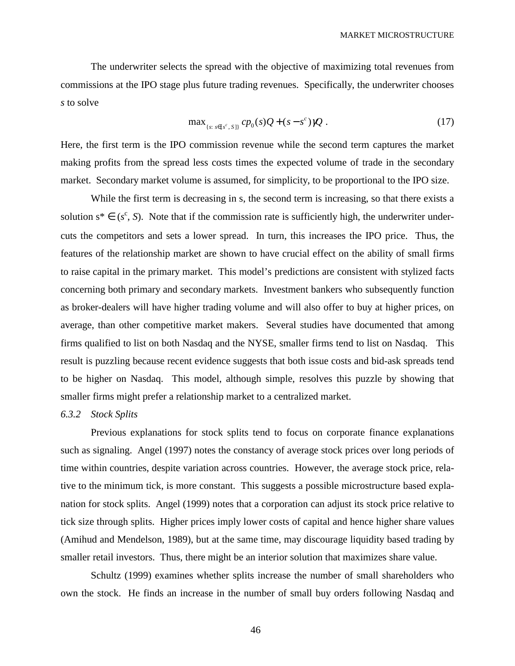The underwriter selects the spread with the objective of maximizing total revenues from commissions at the IPO stage plus future trading revenues. Specifically, the underwriter chooses *s* to solve

$$
\max_{\{s: \ s \in [s^c, S]\}} cp_0(s)Q + (s - s^c)\gamma Q \ . \tag{17}
$$

Here, the first term is the IPO commission revenue while the second term captures the market making profits from the spread less costs times the expected volume of trade in the secondary market. Secondary market volume is assumed, for simplicity, to be proportional to the IPO size.

While the first term is decreasing in s, the second term is increasing, so that there exists a solution  $s^* \in (s^c, S)$ . Note that if the commission rate is sufficiently high, the underwriter undercuts the competitors and sets a lower spread. In turn, this increases the IPO price. Thus, the features of the relationship market are shown to have crucial effect on the ability of small firms to raise capital in the primary market. This model's predictions are consistent with stylized facts concerning both primary and secondary markets. Investment bankers who subsequently function as broker-dealers will have higher trading volume and will also offer to buy at higher prices, on average, than other competitive market makers. Several studies have documented that among firms qualified to list on both Nasdaq and the NYSE, smaller firms tend to list on Nasdaq. This result is puzzling because recent evidence suggests that both issue costs and bid-ask spreads tend to be higher on Nasdaq. This model, although simple, resolves this puzzle by showing that smaller firms might prefer a relationship market to a centralized market.

### *6.3.2 Stock Splits*

Previous explanations for stock splits tend to focus on corporate finance explanations such as signaling. Angel (1997) notes the constancy of average stock prices over long periods of time within countries, despite variation across countries. However, the average stock price, relative to the minimum tick, is more constant. This suggests a possible microstructure based explanation for stock splits. Angel (1999) notes that a corporation can adjust its stock price relative to tick size through splits. Higher prices imply lower costs of capital and hence higher share values (Amihud and Mendelson, 1989), but at the same time, may discourage liquidity based trading by smaller retail investors. Thus, there might be an interior solution that maximizes share value.

Schultz (1999) examines whether splits increase the number of small shareholders who own the stock. He finds an increase in the number of small buy orders following Nasdaq and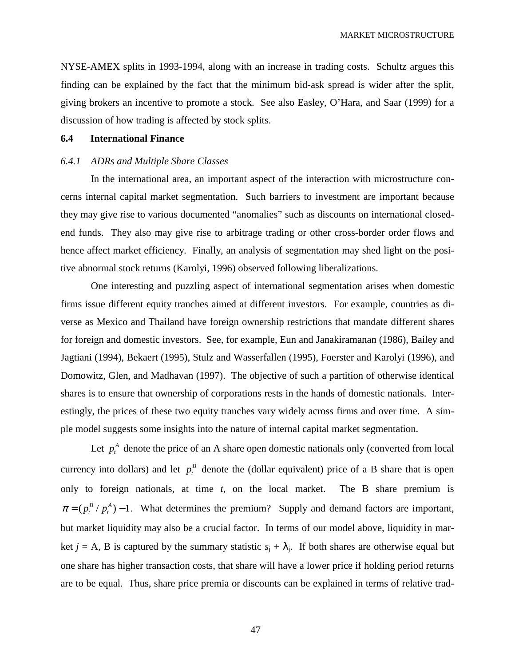NYSE-AMEX splits in 1993-1994, along with an increase in trading costs. Schultz argues this finding can be explained by the fact that the minimum bid-ask spread is wider after the split, giving brokers an incentive to promote a stock. See also Easley, O'Hara, and Saar (1999) for a discussion of how trading is affected by stock splits.

# **6.4 International Finance**

#### *6.4.1 ADRs and Multiple Share Classes*

In the international area, an important aspect of the interaction with microstructure concerns internal capital market segmentation. Such barriers to investment are important because they may give rise to various documented "anomalies" such as discounts on international closedend funds. They also may give rise to arbitrage trading or other cross-border order flows and hence affect market efficiency. Finally, an analysis of segmentation may shed light on the positive abnormal stock returns (Karolyi, 1996) observed following liberalizations.

One interesting and puzzling aspect of international segmentation arises when domestic firms issue different equity tranches aimed at different investors. For example, countries as diverse as Mexico and Thailand have foreign ownership restrictions that mandate different shares for foreign and domestic investors. See, for example, Eun and Janakiramanan (1986), Bailey and Jagtiani (1994), Bekaert (1995), Stulz and Wasserfallen (1995), Foerster and Karolyi (1996), and Domowitz, Glen, and Madhavan (1997). The objective of such a partition of otherwise identical shares is to ensure that ownership of corporations rests in the hands of domestic nationals. Interestingly, the prices of these two equity tranches vary widely across firms and over time. A simple model suggests some insights into the nature of internal capital market segmentation.

Let  $p_t^A$  denote the price of an A share open domestic nationals only (converted from local currency into dollars) and let  $p_t^B$  denote the (dollar equivalent) price of a B share that is open only to foreign nationals, at time *t*, on the local market. The B share premium is  $\pi = (p_t^B / p_t^A)$  $t_t^A$ ) – 1. What determines the premium? Supply and demand factors are important, but market liquidity may also be a crucial factor. In terms of our model above, liquidity in market *j* = A, B is captured by the summary statistic  $s_i + \lambda_i$ . If both shares are otherwise equal but one share has higher transaction costs, that share will have a lower price if holding period returns are to be equal. Thus, share price premia or discounts can be explained in terms of relative trad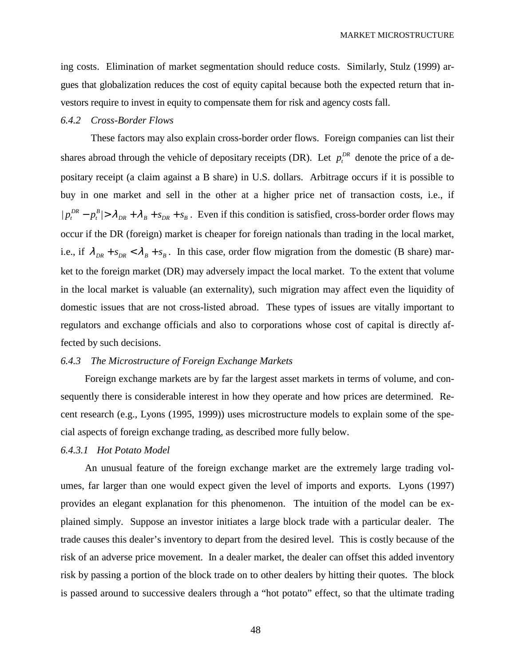ing costs. Elimination of market segmentation should reduce costs. Similarly, Stulz (1999) argues that globalization reduces the cost of equity capital because both the expected return that investors require to invest in equity to compensate them for risk and agency costs fall.

### *6.4.2 Cross-Border Flows*

These factors may also explain cross-border order flows. Foreign companies can list their shares abroad through the vehicle of depositary receipts (DR). Let  $p_t^{DR}$  denote the price of a depositary receipt (a claim against a B share) in U.S. dollars. Arbitrage occurs if it is possible to buy in one market and sell in the other at a higher price net of transaction costs, i.e., if  $|p_t^{DR} - p_t^B| > \lambda_{DR} + \lambda_B + s_{DR} + s$  $-p_t^B$   $\ge \lambda_{DR} + \lambda_B + s_{DR} + s_B$ . Even if this condition is satisfied, cross-border order flows may occur if the DR (foreign) market is cheaper for foreign nationals than trading in the local market, i.e., if  $\lambda_{DR} + s_{DR} < \lambda_B + s_B$ . In this case, order flow migration from the domestic (B share) market to the foreign market (DR) may adversely impact the local market. To the extent that volume in the local market is valuable (an externality), such migration may affect even the liquidity of domestic issues that are not cross-listed abroad. These types of issues are vitally important to regulators and exchange officials and also to corporations whose cost of capital is directly affected by such decisions.

### *6.4.3 The Microstructure of Foreign Exchange Markets*

Foreign exchange markets are by far the largest asset markets in terms of volume, and consequently there is considerable interest in how they operate and how prices are determined. Recent research (e.g., Lyons (1995, 1999)) uses microstructure models to explain some of the special aspects of foreign exchange trading, as described more fully below.

# *6.4.3.1 Hot Potato Model*

An unusual feature of the foreign exchange market are the extremely large trading volumes, far larger than one would expect given the level of imports and exports. Lyons (1997) provides an elegant explanation for this phenomenon. The intuition of the model can be explained simply. Suppose an investor initiates a large block trade with a particular dealer. The trade causes this dealer's inventory to depart from the desired level. This is costly because of the risk of an adverse price movement. In a dealer market, the dealer can offset this added inventory risk by passing a portion of the block trade on to other dealers by hitting their quotes. The block is passed around to successive dealers through a "hot potato" effect, so that the ultimate trading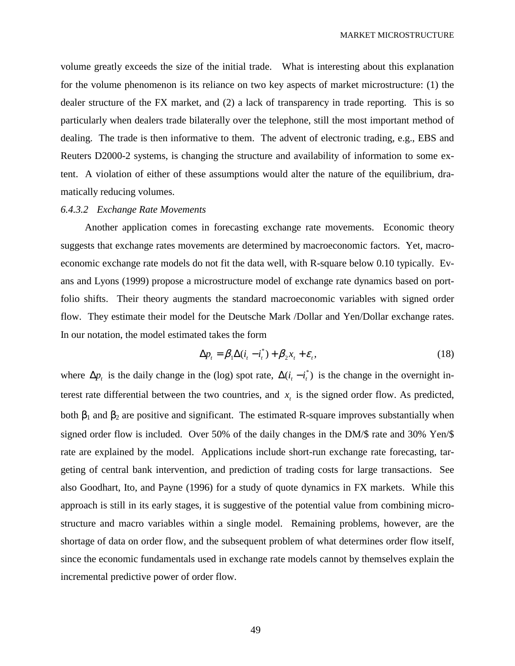volume greatly exceeds the size of the initial trade. What is interesting about this explanation for the volume phenomenon is its reliance on two key aspects of market microstructure: (1) the dealer structure of the FX market, and (2) a lack of transparency in trade reporting. This is so particularly when dealers trade bilaterally over the telephone, still the most important method of dealing. The trade is then informative to them. The advent of electronic trading, e.g., EBS and Reuters D2000-2 systems, is changing the structure and availability of information to some extent. A violation of either of these assumptions would alter the nature of the equilibrium, dramatically reducing volumes.

### *6.4.3.2 Exchange Rate Movements*

Another application comes in forecasting exchange rate movements. Economic theory suggests that exchange rates movements are determined by macroeconomic factors. Yet, macroeconomic exchange rate models do not fit the data well, with R-square below 0.10 typically. Evans and Lyons (1999) propose a microstructure model of exchange rate dynamics based on portfolio shifts. Their theory augments the standard macroeconomic variables with signed order flow. They estimate their model for the Deutsche Mark /Dollar and Yen/Dollar exchange rates. In our notation, the model estimated takes the form

$$
\Delta p_t = \beta_1 \Delta (i_t - i_t^*) + \beta_2 x_t + \varepsilon_t, \qquad (18)
$$

where  $\Delta p_t$  is the daily change in the (log) spot rate,  $\Delta(i_t - i_t^*)$  is the change in the overnight interest rate differential between the two countries, and  $x<sub>t</sub>$  is the signed order flow. As predicted, both  $\beta_1$  and  $\beta_2$  are positive and significant. The estimated R-square improves substantially when signed order flow is included. Over 50% of the daily changes in the DM/\$ rate and 30% Yen/\$ rate are explained by the model. Applications include short-run exchange rate forecasting, targeting of central bank intervention, and prediction of trading costs for large transactions. See also Goodhart, Ito, and Payne (1996) for a study of quote dynamics in FX markets. While this approach is still in its early stages, it is suggestive of the potential value from combining microstructure and macro variables within a single model. Remaining problems, however, are the shortage of data on order flow, and the subsequent problem of what determines order flow itself, since the economic fundamentals used in exchange rate models cannot by themselves explain the incremental predictive power of order flow.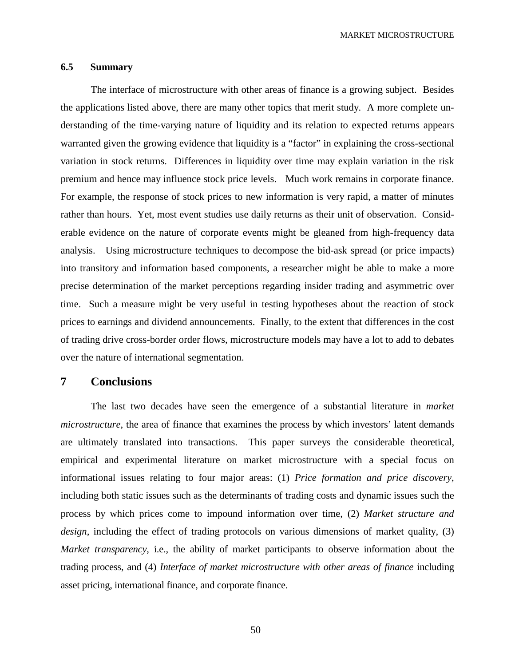# **6.5 Summary**

The interface of microstructure with other areas of finance is a growing subject. Besides the applications listed above, there are many other topics that merit study. A more complete understanding of the time-varying nature of liquidity and its relation to expected returns appears warranted given the growing evidence that liquidity is a "factor" in explaining the cross-sectional variation in stock returns. Differences in liquidity over time may explain variation in the risk premium and hence may influence stock price levels. Much work remains in corporate finance. For example, the response of stock prices to new information is very rapid, a matter of minutes rather than hours. Yet, most event studies use daily returns as their unit of observation. Considerable evidence on the nature of corporate events might be gleaned from high-frequency data analysis. Using microstructure techniques to decompose the bid-ask spread (or price impacts) into transitory and information based components, a researcher might be able to make a more precise determination of the market perceptions regarding insider trading and asymmetric over time. Such a measure might be very useful in testing hypotheses about the reaction of stock prices to earnings and dividend announcements. Finally, to the extent that differences in the cost of trading drive cross-border order flows, microstructure models may have a lot to add to debates over the nature of international segmentation.

# **7 Conclusions**

The last two decades have seen the emergence of a substantial literature in *market microstructure*, the area of finance that examines the process by which investors' latent demands are ultimately translated into transactions. This paper surveys the considerable theoretical, empirical and experimental literature on market microstructure with a special focus on informational issues relating to four major areas: (1) *Price formation and price discovery*, including both static issues such as the determinants of trading costs and dynamic issues such the process by which prices come to impound information over time, (2) *Market structure and design*, including the effect of trading protocols on various dimensions of market quality, (3) *Market transparency*, i.e., the ability of market participants to observe information about the trading process, and (4) *Interface of market microstructure with other areas of finance* including asset pricing, international finance, and corporate finance.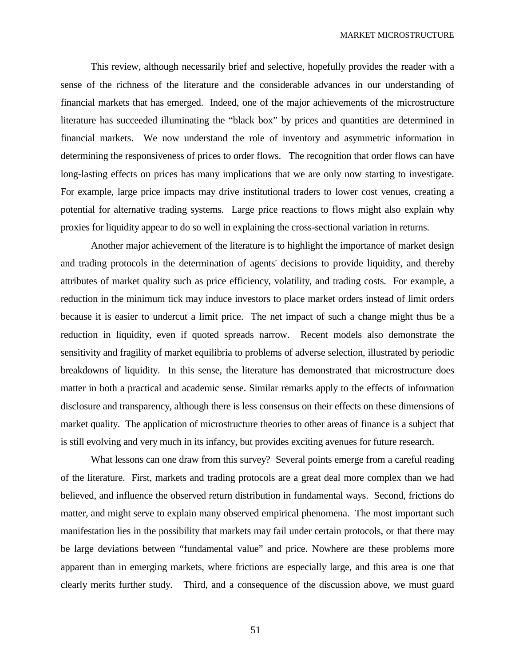This review, although necessarily brief and selective, hopefully provides the reader with a sense of the richness of the literature and the considerable advances in our understanding of financial markets that has emerged. Indeed, one of the major achievements of the microstructure literature has succeeded illuminating the "black box" by prices and quantities are determined in financial markets. We now understand the role of inventory and asymmetric information in determining the responsiveness of prices to order flows. The recognition that order flows can have long-lasting effects on prices has many implications that we are only now starting to investigate. For example, large price impacts may drive institutional traders to lower cost venues, creating a potential for alternative trading systems. Large price reactions to flows might also explain why proxies for liquidity appear to do so well in explaining the cross-sectional variation in returns.

Another major achievement of the literature is to highlight the importance of market design and trading protocols in the determination of agents' decisions to provide liquidity, and thereby attributes of market quality such as price efficiency, volatility, and trading costs. For example, a reduction in the minimum tick may induce investors to place market orders instead of limit orders because it is easier to undercut a limit price. The net impact of such a change might thus be a reduction in liquidity, even if quoted spreads narrow. Recent models also demonstrate the sensitivity and fragility of market equilibria to problems of adverse selection, illustrated by periodic breakdowns of liquidity. In this sense, the literature has demonstrated that microstructure does matter in both a practical and academic sense. Similar remarks apply to the effects of information disclosure and transparency, although there is less consensus on their effects on these dimensions of market quality. The application of microstructure theories to other areas of finance is a subject that is still evolving and very much in its infancy, but provides exciting avenues for future research.

What lessons can one draw from this survey? Several points emerge from a careful reading of the literature. First, markets and trading protocols are a great deal more complex than we had believed, and influence the observed return distribution in fundamental ways. Second, frictions do matter, and might serve to explain many observed empirical phenomena. The most important such manifestation lies in the possibility that markets may fail under certain protocols, or that there may be large deviations between "fundamental value" and price. Nowhere are these problems more apparent than in emerging markets, where frictions are especially large, and this area is one that clearly merits further study. Third, and a consequence of the discussion above, we must guard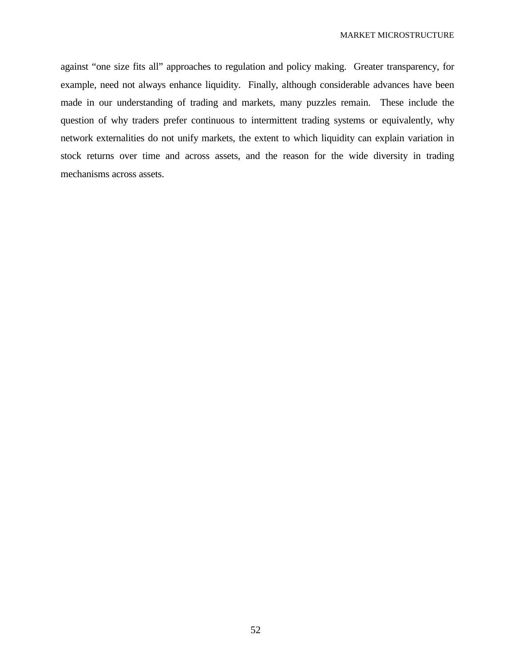against "one size fits all" approaches to regulation and policy making. Greater transparency, for example, need not always enhance liquidity. Finally, although considerable advances have been made in our understanding of trading and markets, many puzzles remain. These include the question of why traders prefer continuous to intermittent trading systems or equivalently, why network externalities do not unify markets, the extent to which liquidity can explain variation in stock returns over time and across assets, and the reason for the wide diversity in trading mechanisms across assets.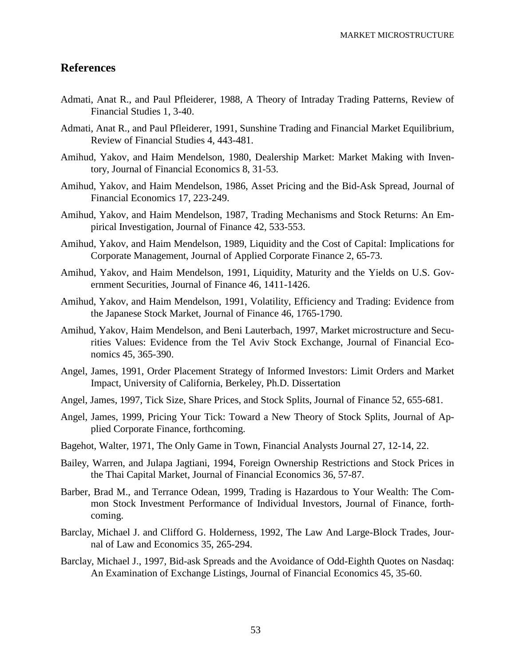# **References**

- Admati, Anat R., and Paul Pfleiderer, 1988, A Theory of Intraday Trading Patterns, Review of Financial Studies 1, 3-40.
- Admati, Anat R., and Paul Pfleiderer, 1991, Sunshine Trading and Financial Market Equilibrium, Review of Financial Studies 4, 443-481.
- Amihud, Yakov, and Haim Mendelson, 1980, Dealership Market: Market Making with Inventory, Journal of Financial Economics 8, 31-53.
- Amihud, Yakov, and Haim Mendelson, 1986, Asset Pricing and the Bid-Ask Spread, Journal of Financial Economics 17, 223-249.
- Amihud, Yakov, and Haim Mendelson, 1987, Trading Mechanisms and Stock Returns: An Empirical Investigation, Journal of Finance 42, 533-553.
- Amihud, Yakov, and Haim Mendelson, 1989, Liquidity and the Cost of Capital: Implications for Corporate Management, Journal of Applied Corporate Finance 2, 65-73.
- Amihud, Yakov, and Haim Mendelson, 1991, Liquidity, Maturity and the Yields on U.S. Government Securities, Journal of Finance 46, 1411-1426.
- Amihud, Yakov, and Haim Mendelson, 1991, Volatility, Efficiency and Trading: Evidence from the Japanese Stock Market, Journal of Finance 46, 1765-1790.
- Amihud, Yakov, Haim Mendelson, and Beni Lauterbach, 1997, Market microstructure and Securities Values: Evidence from the Tel Aviv Stock Exchange, Journal of Financial Economics 45, 365-390.
- Angel, James, 1991, Order Placement Strategy of Informed Investors: Limit Orders and Market Impact, University of California, Berkeley, Ph.D. Dissertation
- Angel, James, 1997, Tick Size, Share Prices, and Stock Splits, Journal of Finance 52, 655-681.
- Angel, James, 1999, Pricing Your Tick: Toward a New Theory of Stock Splits, Journal of Applied Corporate Finance, forthcoming.
- Bagehot, Walter, 1971, The Only Game in Town, Financial Analysts Journal 27, 12-14, 22.
- Bailey, Warren, and Julapa Jagtiani, 1994, Foreign Ownership Restrictions and Stock Prices in the Thai Capital Market, Journal of Financial Economics 36, 57-87.
- Barber, Brad M., and Terrance Odean, 1999, Trading is Hazardous to Your Wealth: The Common Stock Investment Performance of Individual Investors, Journal of Finance, forthcoming.
- Barclay, Michael J. and Clifford G. Holderness, 1992, The Law And Large-Block Trades, Journal of Law and Economics 35, 265-294.
- Barclay, Michael J., 1997, Bid-ask Spreads and the Avoidance of Odd-Eighth Quotes on Nasdaq: An Examination of Exchange Listings, Journal of Financial Economics 45, 35-60.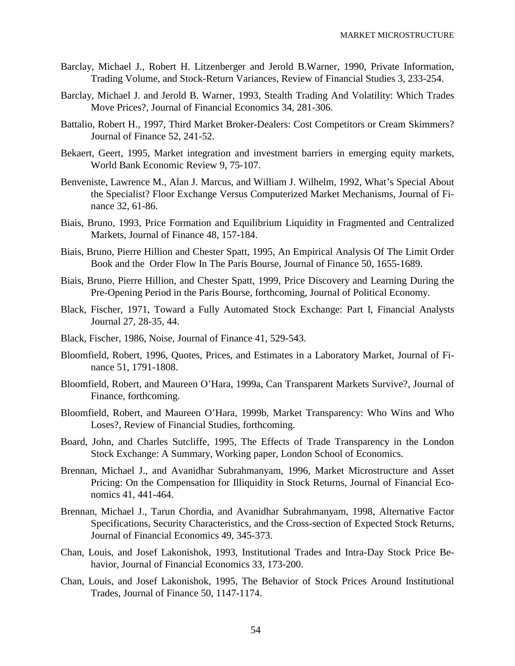- Barclay, Michael J., Robert H. Litzenberger and Jerold B.Warner, 1990, Private Information, Trading Volume, and Stock-Return Variances, Review of Financial Studies 3, 233-254.
- Barclay, Michael J. and Jerold B. Warner, 1993, Stealth Trading And Volatility: Which Trades Move Prices?, Journal of Financial Economics 34, 281-306.
- Battalio, Robert H., 1997, Third Market Broker-Dealers: Cost Competitors or Cream Skimmers? Journal of Finance 52, 241-52.
- Bekaert, Geert, 1995, Market integration and investment barriers in emerging equity markets, World Bank Economic Review 9, 75-107.
- Benveniste, Lawrence M., Alan J. Marcus, and William J. Wilhelm, 1992, What's Special About the Specialist? Floor Exchange Versus Computerized Market Mechanisms, Journal of Finance 32, 61-86.
- Biais, Bruno, 1993, Price Formation and Equilibrium Liquidity in Fragmented and Centralized Markets, Journal of Finance 48, 157-184.
- Biais, Bruno, Pierre Hillion and Chester Spatt, 1995, An Empirical Analysis Of The Limit Order Book and the Order Flow In The Paris Bourse, Journal of Finance 50, 1655-1689.
- Biais, Bruno, Pierre Hillion, and Chester Spatt, 1999, Price Discovery and Learning During the Pre-Opening Period in the Paris Bourse, forthcoming, Journal of Political Economy.
- Black, Fischer, 1971, Toward a Fully Automated Stock Exchange: Part I, Financial Analysts Journal 27, 28-35, 44.
- Black, Fischer, 1986, Noise, Journal of Finance 41, 529-543.
- Bloomfield, Robert, 1996, Quotes, Prices, and Estimates in a Laboratory Market, Journal of Finance 51, 1791-1808.
- Bloomfield, Robert, and Maureen O'Hara, 1999a, Can Transparent Markets Survive?, Journal of Finance, forthcoming.
- Bloomfield, Robert, and Maureen O'Hara, 1999b, Market Transparency: Who Wins and Who Loses?, Review of Financial Studies, forthcoming.
- Board, John, and Charles Sutcliffe, 1995, The Effects of Trade Transparency in the London Stock Exchange: A Summary, Working paper, London School of Economics.
- Brennan, Michael J., and Avanidhar Subrahmanyam, 1996, Market Microstructure and Asset Pricing: On the Compensation for Illiquidity in Stock Returns, Journal of Financial Economics 41, 441-464.
- Brennan, Michael J., Tarun Chordia, and Avanidhar Subrahmanyam, 1998, Alternative Factor Specifications, Security Characteristics, and the Cross-section of Expected Stock Returns, Journal of Financial Economics 49, 345-373.
- Chan, Louis, and Josef Lakonishok, 1993, Institutional Trades and Intra-Day Stock Price Behavior, Journal of Financial Economics 33, 173-200.
- Chan, Louis, and Josef Lakonishok, 1995, The Behavior of Stock Prices Around Institutional Trades, Journal of Finance 50, 1147-1174.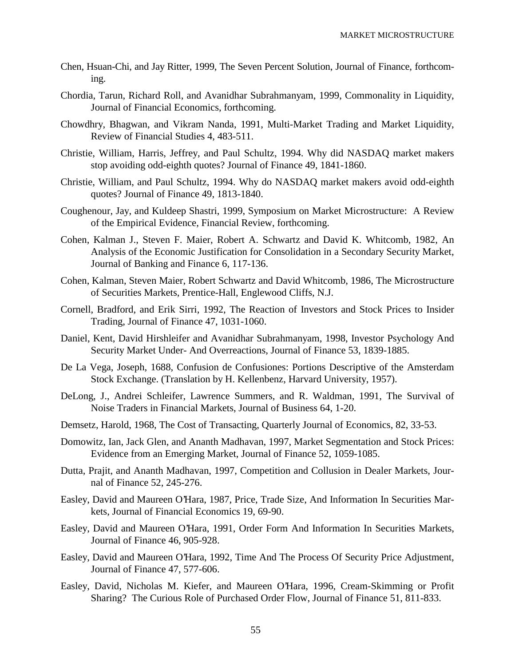- Chen, Hsuan-Chi, and Jay Ritter, 1999, The Seven Percent Solution, Journal of Finance, forthcoming.
- Chordia, Tarun, Richard Roll, and Avanidhar Subrahmanyam, 1999, Commonality in Liquidity, Journal of Financial Economics, forthcoming.
- Chowdhry, Bhagwan, and Vikram Nanda, 1991, Multi-Market Trading and Market Liquidity, Review of Financial Studies 4, 483-511.
- Christie, William, Harris, Jeffrey, and Paul Schultz, 1994. Why did NASDAQ market makers stop avoiding odd-eighth quotes? Journal of Finance 49, 1841-1860.
- Christie, William, and Paul Schultz, 1994. Why do NASDAQ market makers avoid odd-eighth quotes? Journal of Finance 49, 1813-1840.
- Coughenour, Jay, and Kuldeep Shastri, 1999, Symposium on Market Microstructure: A Review of the Empirical Evidence, Financial Review, forthcoming.
- Cohen, Kalman J., Steven F. Maier, Robert A. Schwartz and David K. Whitcomb, 1982, An Analysis of the Economic Justification for Consolidation in a Secondary Security Market, Journal of Banking and Finance 6, 117-136.
- Cohen, Kalman, Steven Maier, Robert Schwartz and David Whitcomb, 1986, The Microstructure of Securities Markets, Prentice-Hall, Englewood Cliffs, N.J.
- Cornell, Bradford, and Erik Sirri, 1992, The Reaction of Investors and Stock Prices to Insider Trading, Journal of Finance 47, 1031-1060.
- Daniel, Kent, David Hirshleifer and Avanidhar Subrahmanyam, 1998, Investor Psychology And Security Market Under- And Overreactions, Journal of Finance 53, 1839-1885.
- De La Vega, Joseph, 1688, Confusion de Confusiones: Portions Descriptive of the Amsterdam Stock Exchange. (Translation by H. Kellenbenz, Harvard University, 1957).
- DeLong, J., Andrei Schleifer, Lawrence Summers, and R. Waldman, 1991, The Survival of Noise Traders in Financial Markets, Journal of Business 64, 1-20.
- Demsetz, Harold, 1968, The Cost of Transacting, Quarterly Journal of Economics, 82, 33-53.
- Domowitz, Ian, Jack Glen, and Ananth Madhavan, 1997, Market Segmentation and Stock Prices: Evidence from an Emerging Market, Journal of Finance 52, 1059-1085.
- Dutta, Prajit, and Ananth Madhavan, 1997, Competition and Collusion in Dealer Markets, Journal of Finance 52, 245-276.
- Easley, David and Maureen O'Hara, 1987, Price, Trade Size, And Information In Securities Markets, Journal of Financial Economics 19, 69-90.
- Easley, David and Maureen O'Hara, 1991, Order Form And Information In Securities Markets, Journal of Finance 46, 905-928.
- Easley, David and Maureen O'Hara, 1992, Time And The Process Of Security Price Adjustment, Journal of Finance 47, 577-606.
- Easley, David, Nicholas M. Kiefer, and Maureen O'Hara, 1996, Cream-Skimming or Profit Sharing? The Curious Role of Purchased Order Flow, Journal of Finance 51, 811-833.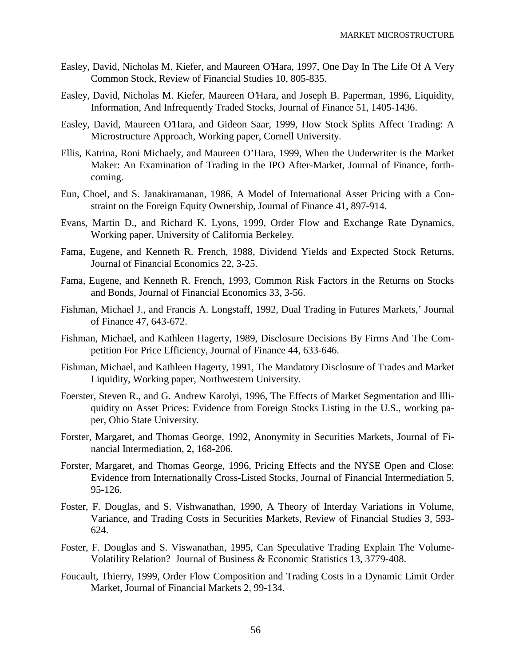- Easley, David, Nicholas M. Kiefer, and Maureen O'Hara, 1997, One Day In The Life Of A Very Common Stock, Review of Financial Studies 10, 805-835.
- Easley, David, Nicholas M. Kiefer, Maureen O'Hara, and Joseph B. Paperman, 1996, Liquidity, Information, And Infrequently Traded Stocks, Journal of Finance 51, 1405-1436.
- Easley, David, Maureen O'Hara, and Gideon Saar, 1999, How Stock Splits Affect Trading: A Microstructure Approach, Working paper, Cornell University.
- Ellis, Katrina, Roni Michaely, and Maureen O'Hara, 1999, When the Underwriter is the Market Maker: An Examination of Trading in the IPO After-Market, Journal of Finance, forthcoming.
- Eun, Choel, and S. Janakiramanan, 1986, A Model of International Asset Pricing with a Constraint on the Foreign Equity Ownership, Journal of Finance 41, 897-914.
- Evans, Martin D., and Richard K. Lyons, 1999, Order Flow and Exchange Rate Dynamics, Working paper, University of California Berkeley.
- Fama, Eugene, and Kenneth R. French, 1988, Dividend Yields and Expected Stock Returns, Journal of Financial Economics 22, 3-25.
- Fama, Eugene, and Kenneth R. French, 1993, Common Risk Factors in the Returns on Stocks and Bonds, Journal of Financial Economics 33, 3-56.
- Fishman, Michael J., and Francis A. Longstaff, 1992, Dual Trading in Futures Markets,' Journal of Finance 47, 643-672.
- Fishman, Michael, and Kathleen Hagerty, 1989, Disclosure Decisions By Firms And The Competition For Price Efficiency, Journal of Finance 44, 633-646.
- Fishman, Michael, and Kathleen Hagerty, 1991, The Mandatory Disclosure of Trades and Market Liquidity, Working paper, Northwestern University.
- Foerster, Steven R., and G. Andrew Karolyi, 1996, The Effects of Market Segmentation and Illiquidity on Asset Prices: Evidence from Foreign Stocks Listing in the U.S., working paper, Ohio State University.
- Forster, Margaret, and Thomas George, 1992, Anonymity in Securities Markets, Journal of Financial Intermediation, 2, 168-206.
- Forster, Margaret, and Thomas George, 1996, Pricing Effects and the NYSE Open and Close: Evidence from Internationally Cross-Listed Stocks, Journal of Financial Intermediation 5, 95-126.
- Foster, F. Douglas, and S. Vishwanathan, 1990, A Theory of Interday Variations in Volume, Variance, and Trading Costs in Securities Markets, Review of Financial Studies 3, 593- 624.
- Foster, F. Douglas and S. Viswanathan, 1995, Can Speculative Trading Explain The Volume-Volatility Relation? Journal of Business & Economic Statistics 13, 3779-408.
- Foucault, Thierry, 1999, Order Flow Composition and Trading Costs in a Dynamic Limit Order Market, Journal of Financial Markets 2, 99-134.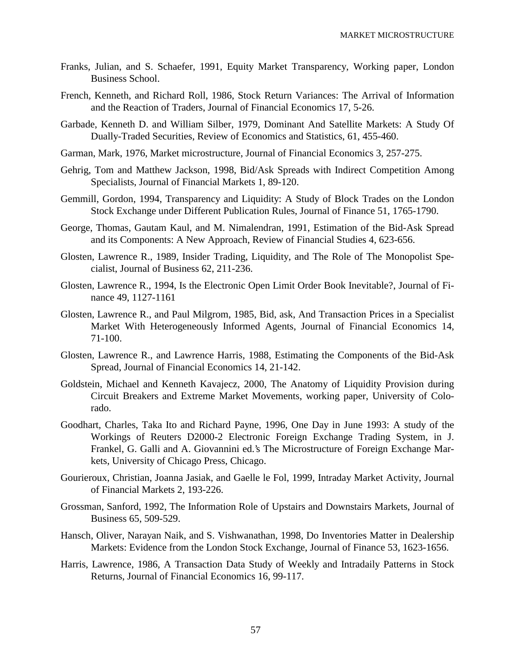- Franks, Julian, and S. Schaefer, 1991, Equity Market Transparency, Working paper, London Business School.
- French, Kenneth, and Richard Roll, 1986, Stock Return Variances: The Arrival of Information and the Reaction of Traders, Journal of Financial Economics 17, 5-26.
- Garbade, Kenneth D. and William Silber, 1979, Dominant And Satellite Markets: A Study Of Dually-Traded Securities, Review of Economics and Statistics, 61, 455-460.
- Garman, Mark, 1976, Market microstructure, Journal of Financial Economics 3, 257-275.
- Gehrig, Tom and Matthew Jackson, 1998, Bid/Ask Spreads with Indirect Competition Among Specialists, Journal of Financial Markets 1, 89-120.
- Gemmill, Gordon, 1994, Transparency and Liquidity: A Study of Block Trades on the London Stock Exchange under Different Publication Rules, Journal of Finance 51, 1765-1790.
- George, Thomas, Gautam Kaul, and M. Nimalendran, 1991, Estimation of the Bid-Ask Spread and its Components: A New Approach, Review of Financial Studies 4, 623-656.
- Glosten, Lawrence R., 1989, Insider Trading, Liquidity, and The Role of The Monopolist Specialist, Journal of Business 62, 211-236.
- Glosten, Lawrence R., 1994, Is the Electronic Open Limit Order Book Inevitable?, Journal of Finance 49, 1127-1161
- Glosten, Lawrence R., and Paul Milgrom, 1985, Bid, ask, And Transaction Prices in a Specialist Market With Heterogeneously Informed Agents, Journal of Financial Economics 14, 71-100.
- Glosten, Lawrence R., and Lawrence Harris, 1988, Estimating the Components of the Bid-Ask Spread, Journal of Financial Economics 14, 21-142.
- Goldstein, Michael and Kenneth Kavajecz, 2000, The Anatomy of Liquidity Provision during Circuit Breakers and Extreme Market Movements, working paper, University of Colorado.
- Goodhart, Charles, Taka Ito and Richard Payne, 1996, One Day in June 1993: A study of the Workings of Reuters D2000-2 Electronic Foreign Exchange Trading System, in J. Frankel, G. Galli and A. Giovannini ed.'s The Microstructure of Foreign Exchange Markets, University of Chicago Press, Chicago.
- Gourieroux, Christian, Joanna Jasiak, and Gaelle le Fol, 1999, Intraday Market Activity, Journal of Financial Markets 2, 193-226.
- Grossman, Sanford, 1992, The Information Role of Upstairs and Downstairs Markets, Journal of Business 65, 509-529.
- Hansch, Oliver, Narayan Naik, and S. Vishwanathan, 1998, Do Inventories Matter in Dealership Markets: Evidence from the London Stock Exchange, Journal of Finance 53, 1623-1656.
- Harris, Lawrence, 1986, A Transaction Data Study of Weekly and Intradaily Patterns in Stock Returns, Journal of Financial Economics 16, 99-117.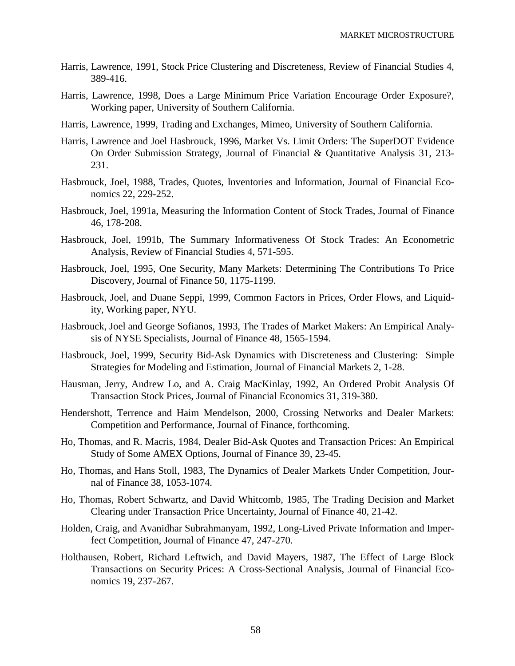- Harris, Lawrence, 1991, Stock Price Clustering and Discreteness, Review of Financial Studies 4, 389-416.
- Harris, Lawrence, 1998, Does a Large Minimum Price Variation Encourage Order Exposure?, Working paper, University of Southern California.
- Harris, Lawrence, 1999, Trading and Exchanges, Mimeo, University of Southern California.
- Harris, Lawrence and Joel Hasbrouck, 1996, Market Vs. Limit Orders: The SuperDOT Evidence On Order Submission Strategy, Journal of Financial & Quantitative Analysis 31, 213- 231.
- Hasbrouck, Joel, 1988, Trades, Quotes, Inventories and Information, Journal of Financial Economics 22, 229-252.
- Hasbrouck, Joel, 1991a, Measuring the Information Content of Stock Trades, Journal of Finance 46, 178-208.
- Hasbrouck, Joel, 1991b, The Summary Informativeness Of Stock Trades: An Econometric Analysis, Review of Financial Studies 4, 571-595.
- Hasbrouck, Joel, 1995, One Security, Many Markets: Determining The Contributions To Price Discovery, Journal of Finance 50, 1175-1199.
- Hasbrouck, Joel, and Duane Seppi, 1999, Common Factors in Prices, Order Flows, and Liquidity, Working paper, NYU.
- Hasbrouck, Joel and George Sofianos, 1993, The Trades of Market Makers: An Empirical Analysis of NYSE Specialists, Journal of Finance 48, 1565-1594.
- Hasbrouck, Joel, 1999, Security Bid-Ask Dynamics with Discreteness and Clustering: Simple Strategies for Modeling and Estimation, Journal of Financial Markets 2, 1-28.
- Hausman, Jerry, Andrew Lo, and A. Craig MacKinlay, 1992, An Ordered Probit Analysis Of Transaction Stock Prices, Journal of Financial Economics 31, 319-380.
- Hendershott, Terrence and Haim Mendelson, 2000, Crossing Networks and Dealer Markets: Competition and Performance, Journal of Finance, forthcoming.
- Ho, Thomas, and R. Macris, 1984, Dealer Bid-Ask Quotes and Transaction Prices: An Empirical Study of Some AMEX Options, Journal of Finance 39, 23-45.
- Ho, Thomas, and Hans Stoll, 1983, The Dynamics of Dealer Markets Under Competition, Journal of Finance 38, 1053-1074.
- Ho, Thomas, Robert Schwartz, and David Whitcomb, 1985, The Trading Decision and Market Clearing under Transaction Price Uncertainty, Journal of Finance 40, 21-42.
- Holden, Craig, and Avanidhar Subrahmanyam, 1992, Long-Lived Private Information and Imperfect Competition, Journal of Finance 47, 247-270.
- Holthausen, Robert, Richard Leftwich, and David Mayers, 1987, The Effect of Large Block Transactions on Security Prices: A Cross-Sectional Analysis, Journal of Financial Economics 19, 237-267.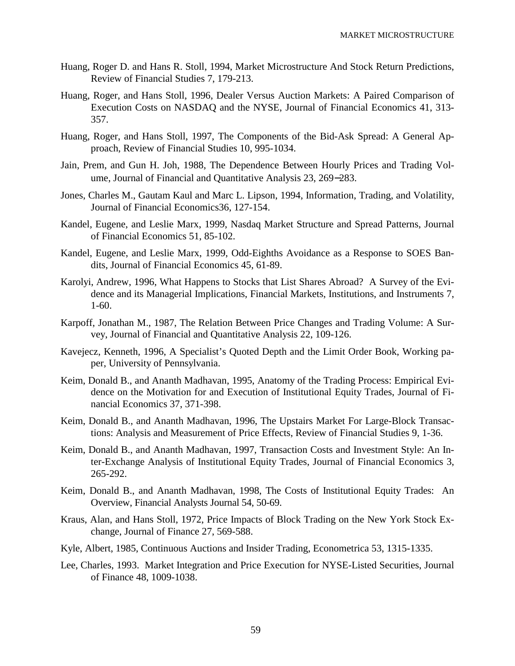- Huang, Roger D. and Hans R. Stoll, 1994, Market Microstructure And Stock Return Predictions, Review of Financial Studies 7, 179-213.
- Huang, Roger, and Hans Stoll, 1996, Dealer Versus Auction Markets: A Paired Comparison of Execution Costs on NASDAQ and the NYSE, Journal of Financial Economics 41, 313- 357.
- Huang, Roger, and Hans Stoll, 1997, The Components of the Bid-Ask Spread: A General Approach, Review of Financial Studies 10, 995-1034.
- Jain, Prem, and Gun H. Joh, 1988, The Dependence Between Hourly Prices and Trading Volume, Journal of Financial and Quantitative Analysis 23, 269−283.
- Jones, Charles M., Gautam Kaul and Marc L. Lipson, 1994, Information, Trading, and Volatility, Journal of Financial Economics36, 127-154.
- Kandel, Eugene, and Leslie Marx, 1999, Nasdaq Market Structure and Spread Patterns, Journal of Financial Economics 51, 85-102.
- Kandel, Eugene, and Leslie Marx, 1999, Odd-Eighths Avoidance as a Response to SOES Bandits, Journal of Financial Economics 45, 61-89.
- Karolyi, Andrew, 1996, What Happens to Stocks that List Shares Abroad? A Survey of the Evidence and its Managerial Implications, Financial Markets, Institutions, and Instruments 7, 1-60.
- Karpoff, Jonathan M., 1987, The Relation Between Price Changes and Trading Volume: A Survey, Journal of Financial and Quantitative Analysis 22, 109-126.
- Kavejecz, Kenneth, 1996, A Specialist's Quoted Depth and the Limit Order Book, Working paper, University of Pennsylvania.
- Keim, Donald B., and Ananth Madhavan, 1995, Anatomy of the Trading Process: Empirical Evidence on the Motivation for and Execution of Institutional Equity Trades, Journal of Financial Economics 37, 371-398.
- Keim, Donald B., and Ananth Madhavan, 1996, The Upstairs Market For Large-Block Transactions: Analysis and Measurement of Price Effects, Review of Financial Studies 9, 1-36.
- Keim, Donald B., and Ananth Madhavan, 1997, Transaction Costs and Investment Style: An Inter-Exchange Analysis of Institutional Equity Trades, Journal of Financial Economics 3, 265-292.
- Keim, Donald B., and Ananth Madhavan, 1998, The Costs of Institutional Equity Trades: An Overview, Financial Analysts Journal 54, 50-69.
- Kraus, Alan, and Hans Stoll, 1972, Price Impacts of Block Trading on the New York Stock Exchange, Journal of Finance 27, 569-588.
- Kyle, Albert, 1985, Continuous Auctions and Insider Trading, Econometrica 53, 1315-1335.
- Lee, Charles, 1993. Market Integration and Price Execution for NYSE-Listed Securities, Journal of Finance 48, 1009-1038.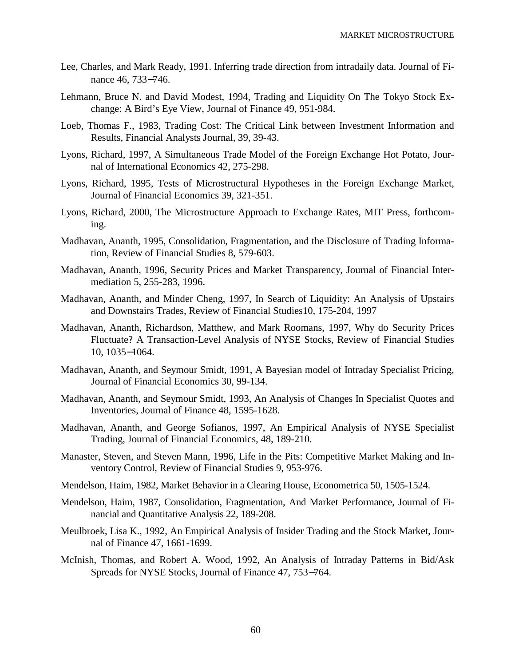- Lee, Charles, and Mark Ready, 1991. Inferring trade direction from intradaily data. Journal of Finance 46, 733−746.
- Lehmann, Bruce N. and David Modest, 1994, Trading and Liquidity On The Tokyo Stock Exchange: A Bird's Eye View, Journal of Finance 49, 951-984.
- Loeb, Thomas F., 1983, Trading Cost: The Critical Link between Investment Information and Results, Financial Analysts Journal, 39, 39-43.
- Lyons, Richard, 1997, A Simultaneous Trade Model of the Foreign Exchange Hot Potato, Journal of International Economics 42, 275-298.
- Lyons, Richard, 1995, Tests of Microstructural Hypotheses in the Foreign Exchange Market, Journal of Financial Economics 39, 321-351.
- Lyons, Richard, 2000, The Microstructure Approach to Exchange Rates, MIT Press, forthcoming.
- Madhavan, Ananth, 1995, Consolidation, Fragmentation, and the Disclosure of Trading Information, Review of Financial Studies 8, 579-603.
- Madhavan, Ananth, 1996, Security Prices and Market Transparency, Journal of Financial Intermediation 5, 255-283, 1996.
- Madhavan, Ananth, and Minder Cheng, 1997, In Search of Liquidity: An Analysis of Upstairs and Downstairs Trades, Review of Financial Studies10, 175-204, 1997
- Madhavan, Ananth, Richardson, Matthew, and Mark Roomans, 1997, Why do Security Prices Fluctuate? A Transaction-Level Analysis of NYSE Stocks, Review of Financial Studies 10, 1035−1064.
- Madhavan, Ananth, and Seymour Smidt, 1991, A Bayesian model of Intraday Specialist Pricing, Journal of Financial Economics 30, 99-134.
- Madhavan, Ananth, and Seymour Smidt, 1993, An Analysis of Changes In Specialist Quotes and Inventories, Journal of Finance 48, 1595-1628.
- Madhavan, Ananth, and George Sofianos, 1997, An Empirical Analysis of NYSE Specialist Trading, Journal of Financial Economics, 48, 189-210.
- Manaster, Steven, and Steven Mann, 1996, Life in the Pits: Competitive Market Making and Inventory Control, Review of Financial Studies 9, 953-976.
- Mendelson, Haim, 1982, Market Behavior in a Clearing House, Econometrica 50, 1505-1524.
- Mendelson, Haim, 1987, Consolidation, Fragmentation, And Market Performance, Journal of Financial and Quantitative Analysis 22, 189-208.
- Meulbroek, Lisa K., 1992, An Empirical Analysis of Insider Trading and the Stock Market, Journal of Finance 47, 1661-1699.
- McInish, Thomas, and Robert A. Wood, 1992, An Analysis of Intraday Patterns in Bid/Ask Spreads for NYSE Stocks, Journal of Finance 47, 753−764.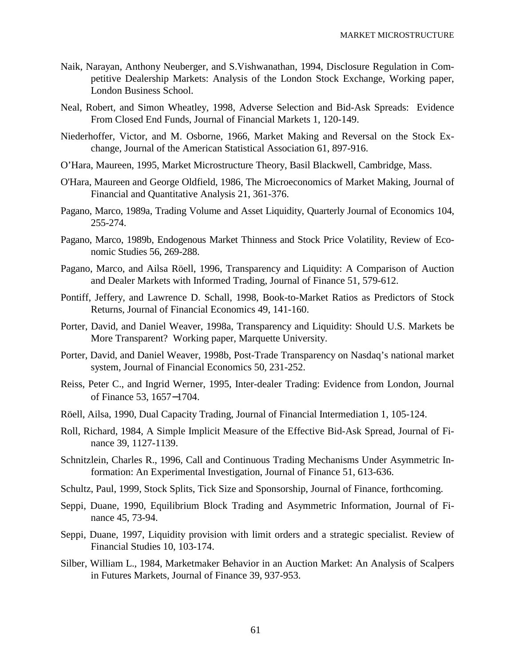- Naik, Narayan, Anthony Neuberger, and S.Vishwanathan, 1994, Disclosure Regulation in Competitive Dealership Markets: Analysis of the London Stock Exchange, Working paper, London Business School.
- Neal, Robert, and Simon Wheatley, 1998, Adverse Selection and Bid-Ask Spreads: Evidence From Closed End Funds, Journal of Financial Markets 1, 120-149.
- Niederhoffer, Victor, and M. Osborne, 1966, Market Making and Reversal on the Stock Exchange, Journal of the American Statistical Association 61, 897-916.
- O'Hara, Maureen, 1995, Market Microstructure Theory, Basil Blackwell, Cambridge, Mass.
- O'Hara, Maureen and George Oldfield, 1986, The Microeconomics of Market Making, Journal of Financial and Quantitative Analysis 21, 361-376.
- Pagano, Marco, 1989a, Trading Volume and Asset Liquidity, Quarterly Journal of Economics 104, 255-274.
- Pagano, Marco, 1989b, Endogenous Market Thinness and Stock Price Volatility, Review of Economic Studies 56, 269-288.
- Pagano, Marco, and Ailsa Röell, 1996, Transparency and Liquidity: A Comparison of Auction and Dealer Markets with Informed Trading, Journal of Finance 51, 579-612.
- Pontiff, Jeffery, and Lawrence D. Schall, 1998, Book-to-Market Ratios as Predictors of Stock Returns, Journal of Financial Economics 49, 141-160.
- Porter, David, and Daniel Weaver, 1998a, Transparency and Liquidity: Should U.S. Markets be More Transparent? Working paper, Marquette University.
- Porter, David, and Daniel Weaver, 1998b, Post-Trade Transparency on Nasdaq's national market system, Journal of Financial Economics 50, 231-252.
- Reiss, Peter C., and Ingrid Werner, 1995, Inter-dealer Trading: Evidence from London, Journal of Finance 53, 1657−1704.
- Röell, Ailsa, 1990, Dual Capacity Trading, Journal of Financial Intermediation 1, 105-124.
- Roll, Richard, 1984, A Simple Implicit Measure of the Effective Bid-Ask Spread, Journal of Finance 39, 1127-1139.
- Schnitzlein, Charles R., 1996, Call and Continuous Trading Mechanisms Under Asymmetric Information: An Experimental Investigation, Journal of Finance 51, 613-636.
- Schultz, Paul, 1999, Stock Splits, Tick Size and Sponsorship, Journal of Finance, forthcoming.
- Seppi, Duane, 1990, Equilibrium Block Trading and Asymmetric Information, Journal of Finance 45, 73-94.
- Seppi, Duane, 1997, Liquidity provision with limit orders and a strategic specialist. Review of Financial Studies 10, 103-174.
- Silber, William L., 1984, Marketmaker Behavior in an Auction Market: An Analysis of Scalpers in Futures Markets, Journal of Finance 39, 937-953.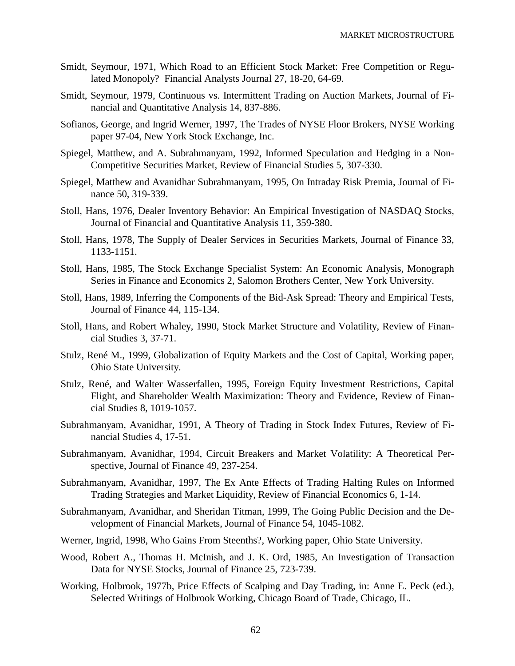- Smidt, Seymour, 1971, Which Road to an Efficient Stock Market: Free Competition or Regulated Monopoly? Financial Analysts Journal 27, 18-20, 64-69.
- Smidt, Seymour, 1979, Continuous vs. Intermittent Trading on Auction Markets, Journal of Financial and Quantitative Analysis 14, 837-886.
- Sofianos, George, and Ingrid Werner, 1997, The Trades of NYSE Floor Brokers, NYSE Working paper 97-04, New York Stock Exchange, Inc.
- Spiegel, Matthew, and A. Subrahmanyam, 1992, Informed Speculation and Hedging in a Non-Competitive Securities Market, Review of Financial Studies 5, 307-330.
- Spiegel, Matthew and Avanidhar Subrahmanyam, 1995, On Intraday Risk Premia, Journal of Finance 50, 319-339.
- Stoll, Hans, 1976, Dealer Inventory Behavior: An Empirical Investigation of NASDAQ Stocks, Journal of Financial and Quantitative Analysis 11, 359-380.
- Stoll, Hans, 1978, The Supply of Dealer Services in Securities Markets, Journal of Finance 33, 1133-1151.
- Stoll, Hans, 1985, The Stock Exchange Specialist System: An Economic Analysis, Monograph Series in Finance and Economics 2, Salomon Brothers Center, New York University.
- Stoll, Hans, 1989, Inferring the Components of the Bid-Ask Spread: Theory and Empirical Tests, Journal of Finance 44, 115-134.
- Stoll, Hans, and Robert Whaley, 1990, Stock Market Structure and Volatility, Review of Financial Studies 3, 37-71.
- Stulz, René M., 1999, Globalization of Equity Markets and the Cost of Capital, Working paper, Ohio State University.
- Stulz, René, and Walter Wasserfallen, 1995, Foreign Equity Investment Restrictions, Capital Flight, and Shareholder Wealth Maximization: Theory and Evidence, Review of Financial Studies 8, 1019-1057.
- Subrahmanyam, Avanidhar, 1991, A Theory of Trading in Stock Index Futures, Review of Financial Studies 4, 17-51.
- Subrahmanyam, Avanidhar, 1994, Circuit Breakers and Market Volatility: A Theoretical Perspective, Journal of Finance 49, 237-254.
- Subrahmanyam, Avanidhar, 1997, The Ex Ante Effects of Trading Halting Rules on Informed Trading Strategies and Market Liquidity, Review of Financial Economics 6, 1-14.
- Subrahmanyam, Avanidhar, and Sheridan Titman, 1999, The Going Public Decision and the Development of Financial Markets, Journal of Finance 54, 1045-1082.
- Werner, Ingrid, 1998, Who Gains From Steenths?, Working paper, Ohio State University.
- Wood, Robert A., Thomas H. McInish, and J. K. Ord, 1985, An Investigation of Transaction Data for NYSE Stocks, Journal of Finance 25, 723-739.
- Working, Holbrook, 1977b, Price Effects of Scalping and Day Trading, in: Anne E. Peck (ed.), Selected Writings of Holbrook Working, Chicago Board of Trade, Chicago, IL.